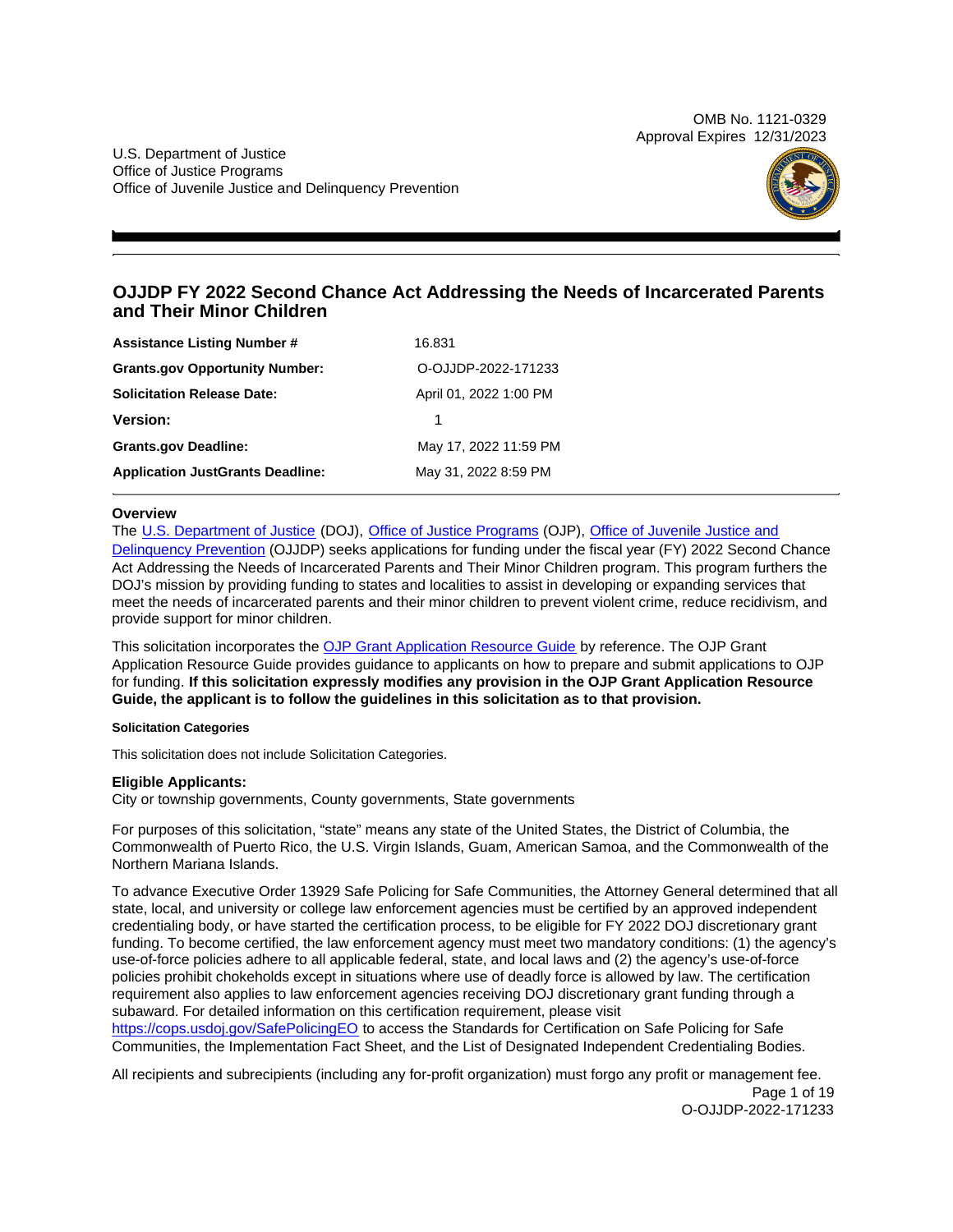OMB No. 1121-0329 Approval Expires 12/31/2023

U.S. Department of Justice Office of Justice Programs Office of Juvenile Justice and Delinquency Prevention



# **OJJDP FY 2022 Second Chance Act Addressing the Needs of Incarcerated Parents and Their Minor Children**

| <b>Assistance Listing Number #</b>      | 16.831                 |
|-----------------------------------------|------------------------|
| <b>Grants.gov Opportunity Number:</b>   | O-OJJDP-2022-171233    |
| <b>Solicitation Release Date:</b>       | April 01, 2022 1:00 PM |
| Version:                                |                        |
| <b>Grants.gov Deadline:</b>             | May 17, 2022 11:59 PM  |
| <b>Application JustGrants Deadline:</b> | May 31, 2022 8:59 PM   |

# **Overview**

The [U.S. Department of Justice](https://www.usdoj.gov/) (DOJ), [Office of Justice Programs](https://www.ojp.usdoj.gov/) (OJP), Office of Juvenile Justice and [Delinquency Prevention](https://ojjdp.ojp.gov/) (OJJDP) seeks applications for funding under the fiscal year (FY) 2022 Second Chance Act Addressing the Needs of Incarcerated Parents and Their Minor Children program. This program furthers the DOJ's mission by providing funding to states and localities to assist in developing or expanding services that meet the needs of incarcerated parents and their minor children to prevent violent crime, reduce recidivism, and provide support for minor children.

This solicitation incorporates the [OJP Grant Application Resource Guide](https://www.ojp.gov/funding/Apply/Resources/Grant-App-Resource-Guide.htm) by reference. The OJP Grant Application Resource Guide provides guidance to applicants on how to prepare and submit applications to OJP for funding. **If this solicitation expressly modifies any provision in the OJP Grant Application Resource Guide, the applicant is to follow the guidelines in this solicitation as to that provision.** 

# **Solicitation Categories**

This solicitation does not include Solicitation Categories.

# **Eligible Applicants:**

City or township governments, County governments, State governments

For purposes of this solicitation, "state" means any state of the United States, the District of Columbia, the Commonwealth of Puerto Rico, the U.S. Virgin Islands, Guam, American Samoa, and the Commonwealth of the Northern Mariana Islands.

To advance Executive Order 13929 Safe Policing for Safe Communities, the Attorney General determined that all state, local, and university or college law enforcement agencies must be certified by an approved independent credentialing body, or have started the certification process, to be eligible for FY 2022 DOJ discretionary grant funding. To become certified, the law enforcement agency must meet two mandatory conditions: (1) the agency's use-of-force policies adhere to all applicable federal, state, and local laws and (2) the agency's use-of-force policies prohibit chokeholds except in situations where use of deadly force is allowed by law. The certification requirement also applies to law enforcement agencies receiving DOJ discretionary grant funding through a subaward. For detailed information on this certification requirement, please visit

[https://cops.usdoj.gov/SafePolicingEO](https://cops.usdoj.gov/SafePolicingEO%20) to access the Standards for Certification on Safe Policing for Safe Communities, the Implementation Fact Sheet, and the List of Designated Independent Credentialing Bodies.

All recipients and subrecipients (including any for-profit organization) must forgo any profit or management fee. Page 1 of 19 O-OJJDP-2022-171233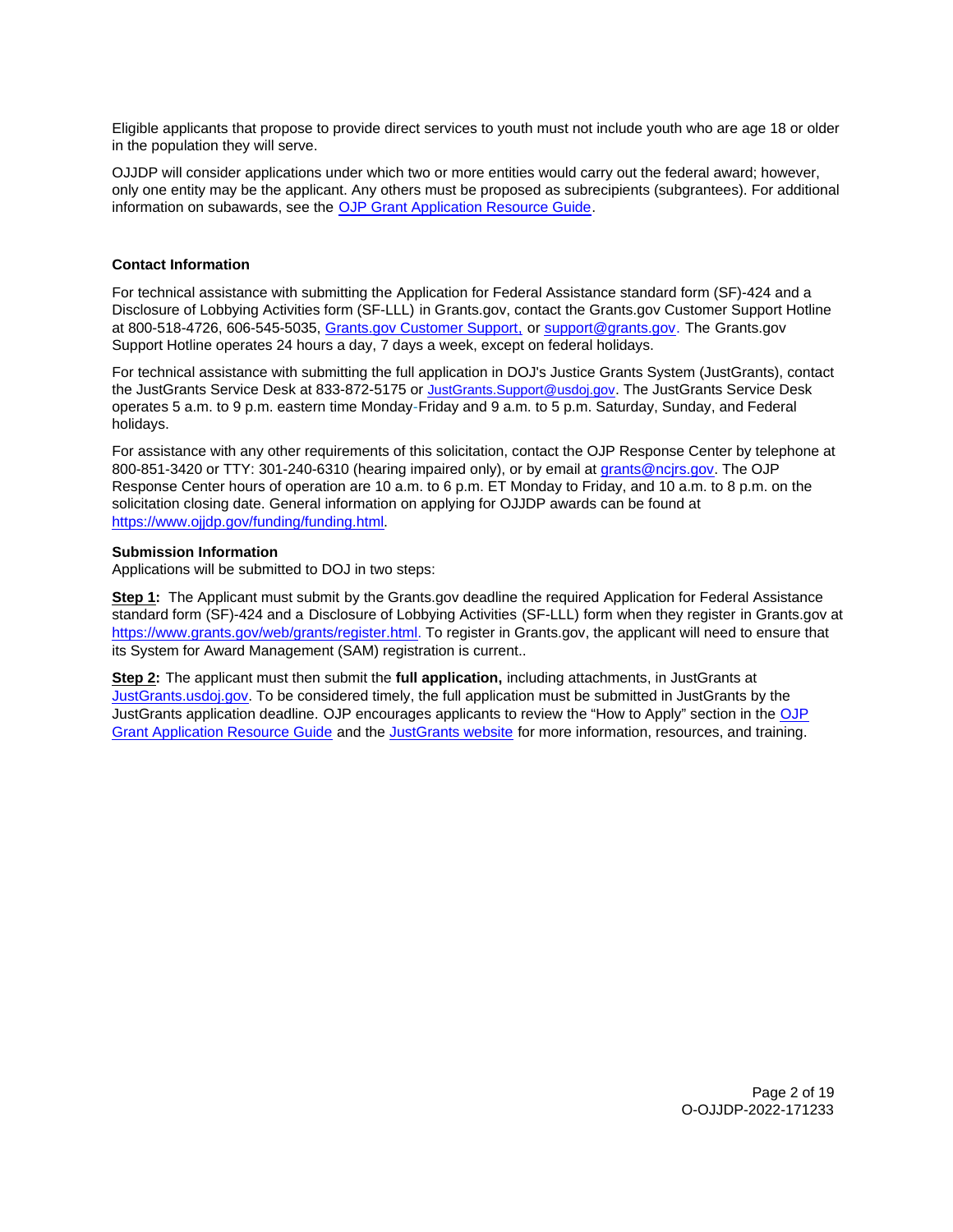<span id="page-1-0"></span>Eligible applicants that propose to provide direct services to youth must not include youth who are age 18 or older in the population they will serve.

OJJDP will consider applications under which two or more entities would carry out the federal award; however, only one entity may be the applicant. Any others must be proposed as subrecipients (subgrantees). For additional information on subawards, see the [OJP Grant Application Resource Guide.](https://www.ojp.gov/funding/Apply/Resources/Grant-App-Resource-Guide.htm) 

# **Contact Information**

at 800-518-4726, 606-545-5035, <u>Grants.gov Customer Support,</u> or [support@grants.gov.](mailto:support@grants.gov) The [Grants.gov](https://Grants.gov) For technical assistance with submitting the Application for Federal Assistance standard form (SF)-424 and a Disclosure of Lobbying Activities form (SF-LLL) in Grants.gov, contact the Grants.gov Customer Support Hotline Support Hotline operates 24 hours a day, 7 days a week, except on federal holidays.

For technical assistance with submitting the full application in DOJ's Justice Grants System (JustGrants), contact the JustGrants Service Desk at 833-872-5175 or [JustGrants.Support@usdoj.gov.](mailto:JustGrants.Support@usdoj.gov) The JustGrants Service Desk operates 5 a.m. to 9 p.m. eastern time Monday-Friday and 9 a.m. to 5 p.m. Saturday, Sunday, and Federal holidays.

For assistance with any other requirements of this solicitation, contact the OJP Response Center by telephone at 800-851-3420 or TTY: 301-240-6310 (hearing impaired only), or by email at [grants@ncjrs.gov.](mailto:grants@ncjrs.gov) The OJP Response Center hours of operation are 10 a.m. to 6 p.m. ET Monday to Friday, and 10 a.m. to 8 p.m. on the solicitation closing date. General information on applying for OJJDP awards can be found at [https://www.ojjdp.gov/funding/funding.html.](https://www.ojjdp.gov/funding/funding.html)

# **Submission Information**

Applications will be submitted to DOJ in two steps:

**Step 1:**  The Applicant must submit by the [Grants.gov](https://Grants.gov) deadline the required Application for Federal Assistance standard form (SF)-424 and a Disclosure of Lobbying Activities (SF-LLL) form when they register in [Grants.gov](https://Grants.gov) at [https://www.grants.gov/web/grants/register.html.](https://www.grants.gov/web/grants/register.html) To register in [Grants.gov](https://Grants.gov), the applicant will need to ensure that its System for Award Management (SAM) registration is current..

**Step 2:** The applicant must then submit the **full application,** including attachments, in JustGrants at [JustGrants.usdoj.gov.](https://justicegrants.usdoj.gov/) To be considered timely, the full application must be submitted in JustGrants by the JustGrants application deadline. OJP encourages applicants to review the "How to Apply" section in the [OJP](https://www.ojp.gov/funding/apply/ojp-grant-application-resource-guide#apply)  [Grant Application Resource Guide](https://www.ojp.gov/funding/apply/ojp-grant-application-resource-guide#apply) and the [JustGrants website](https://justicegrants.usdoj.gov/news) for more information, resources, and training.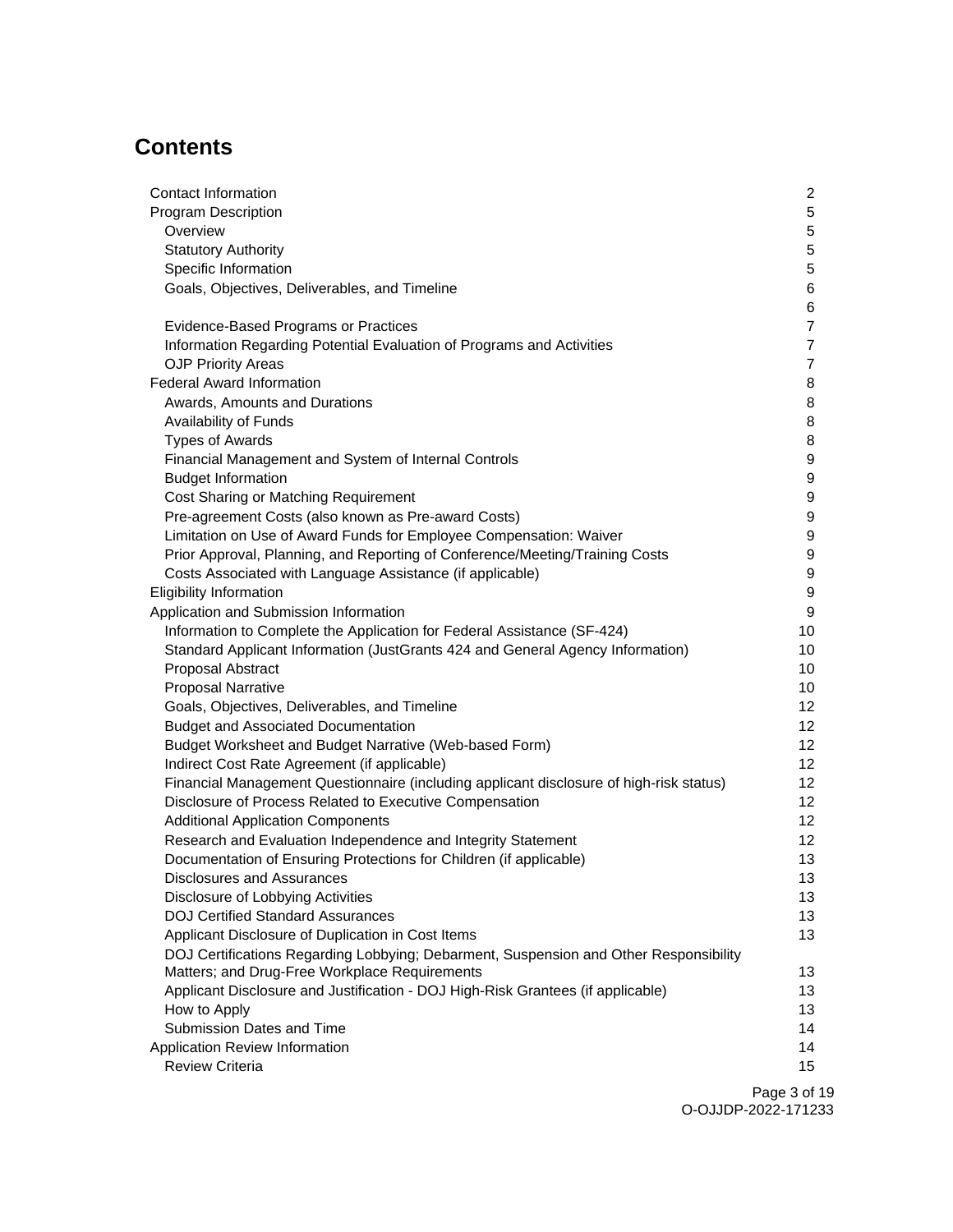# **Contents**

| Contact Information                                                                                               | $\overline{2}$  |
|-------------------------------------------------------------------------------------------------------------------|-----------------|
| <b>Program Description</b>                                                                                        | 5               |
| Overview                                                                                                          | 5               |
| <b>Statutory Authority</b>                                                                                        | 5               |
| Specific Information                                                                                              | 5               |
| Goals, Objectives, Deliverables, and Timeline                                                                     | 6<br>6          |
| Evidence-Based Programs or Practices                                                                              | $\overline{7}$  |
| Information Regarding Potential Evaluation of Programs and Activities                                             | $\overline{7}$  |
| <b>OJP Priority Areas</b>                                                                                         | $\overline{7}$  |
| <b>Federal Award Information</b>                                                                                  | 8               |
| Awards, Amounts and Durations                                                                                     | 8               |
| Availability of Funds                                                                                             | 8               |
| <b>Types of Awards</b>                                                                                            | 8               |
| Financial Management and System of Internal Controls                                                              | 9               |
| <b>Budget Information</b>                                                                                         | 9               |
| Cost Sharing or Matching Requirement                                                                              | 9               |
| Pre-agreement Costs (also known as Pre-award Costs)                                                               | 9               |
| Limitation on Use of Award Funds for Employee Compensation: Waiver                                                | 9               |
| Prior Approval, Planning, and Reporting of Conference/Meeting/Training Costs                                      | 9               |
| Costs Associated with Language Assistance (if applicable)                                                         | 9               |
| <b>Eligibility Information</b>                                                                                    | 9<br>9          |
| Application and Submission Information<br>Information to Complete the Application for Federal Assistance (SF-424) | 10              |
| Standard Applicant Information (JustGrants 424 and General Agency Information)                                    | 10              |
| <b>Proposal Abstract</b>                                                                                          | 10              |
| <b>Proposal Narrative</b>                                                                                         | 10              |
| Goals, Objectives, Deliverables, and Timeline                                                                     | 12              |
| <b>Budget and Associated Documentation</b>                                                                        | 12              |
| Budget Worksheet and Budget Narrative (Web-based Form)                                                            | 12              |
| Indirect Cost Rate Agreement (if applicable)                                                                      | 12 <sup>°</sup> |
| Financial Management Questionnaire (including applicant disclosure of high-risk status)                           | 12              |
| Disclosure of Process Related to Executive Compensation                                                           | 12 <sub>2</sub> |
| <b>Additional Application Components</b>                                                                          | 12 <sub>2</sub> |
| Research and Evaluation Independence and Integrity Statement                                                      | 12 <sub>2</sub> |
| Documentation of Ensuring Protections for Children (if applicable)                                                | 13              |
| Disclosures and Assurances                                                                                        | 13              |
| Disclosure of Lobbying Activities                                                                                 | 13              |
| <b>DOJ Certified Standard Assurances</b><br>Applicant Disclosure of Duplication in Cost Items                     | 13<br>13        |
| DOJ Certifications Regarding Lobbying; Debarment, Suspension and Other Responsibility                             |                 |
| Matters; and Drug-Free Workplace Requirements                                                                     | 13              |
| Applicant Disclosure and Justification - DOJ High-Risk Grantees (if applicable)                                   | 13              |
| How to Apply                                                                                                      | 13              |
| Submission Dates and Time                                                                                         | 14              |
| Application Review Information                                                                                    | 14              |
| <b>Review Criteria</b>                                                                                            | 15              |
|                                                                                                                   |                 |

Page 3 of 19 O-OJJDP-2022-171233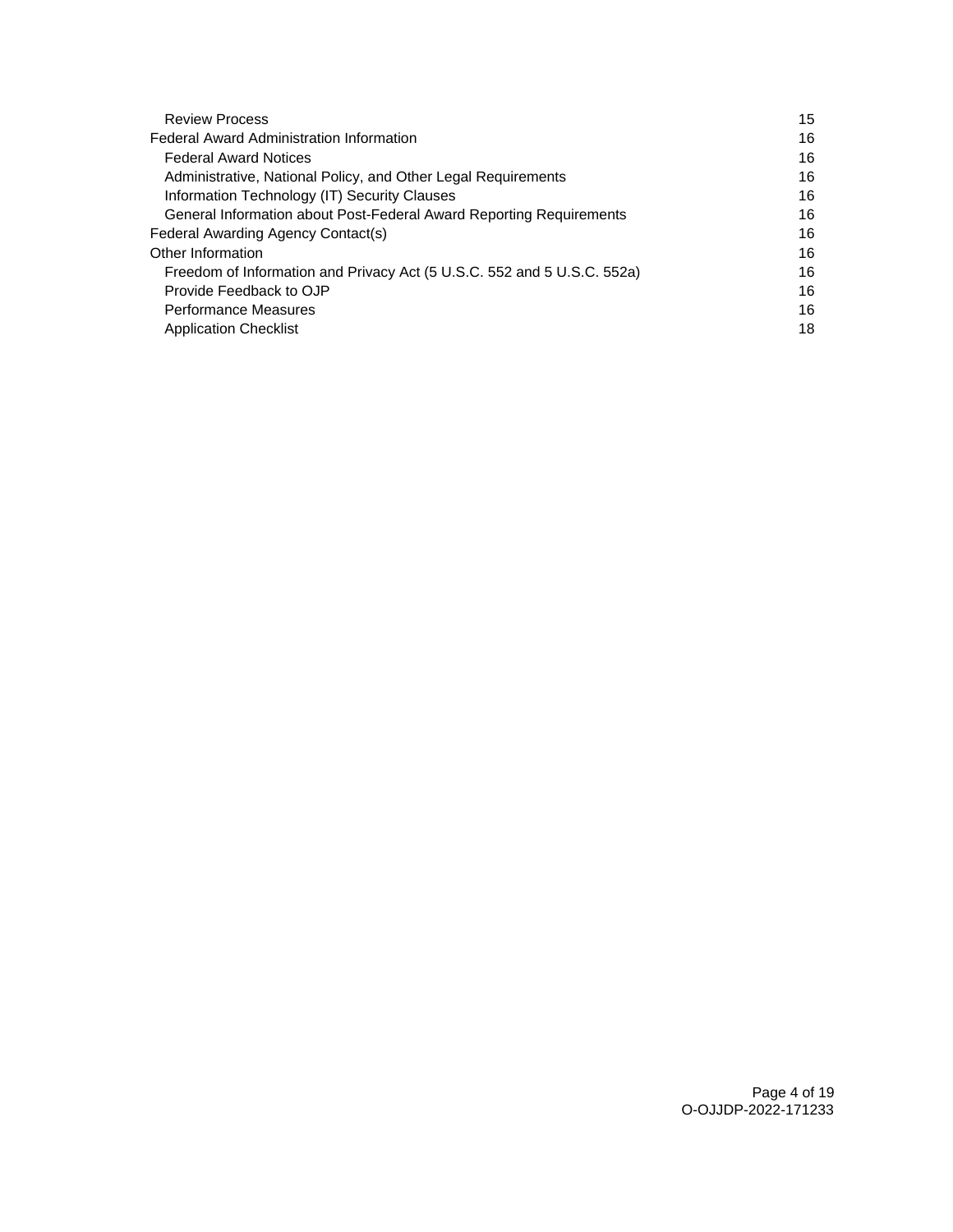| <b>Review Process</b>                                                   | 15 |
|-------------------------------------------------------------------------|----|
| <b>Federal Award Administration Information</b>                         | 16 |
| <b>Federal Award Notices</b>                                            | 16 |
| Administrative, National Policy, and Other Legal Requirements           | 16 |
| Information Technology (IT) Security Clauses                            | 16 |
| General Information about Post-Federal Award Reporting Requirements     | 16 |
| Federal Awarding Agency Contact(s)                                      | 16 |
| Other Information                                                       | 16 |
| Freedom of Information and Privacy Act (5 U.S.C. 552 and 5 U.S.C. 552a) | 16 |
| Provide Feedback to OJP                                                 | 16 |
| <b>Performance Measures</b>                                             | 16 |
| <b>Application Checklist</b>                                            | 18 |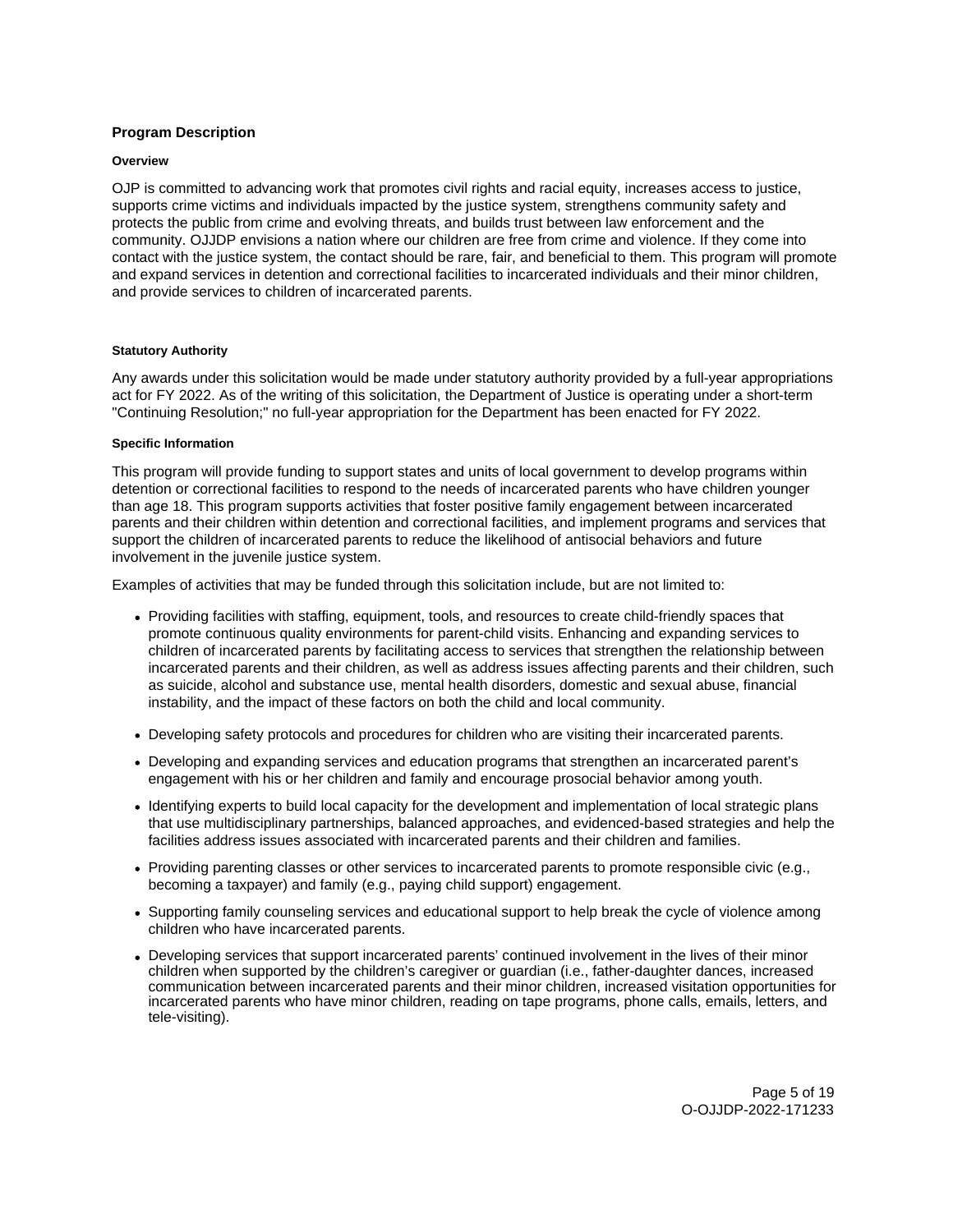# <span id="page-4-0"></span>**Program Description**

## **Overview**

OJP is committed to advancing work that promotes civil rights and racial equity, increases access to justice, supports crime victims and individuals impacted by the justice system, strengthens community safety and protects the public from crime and evolving threats, and builds trust between law enforcement and the community. OJJDP envisions a nation where our children are free from crime and violence. If they come into contact with the justice system, the contact should be rare, fair, and beneficial to them. This program will promote and expand services in detention and correctional facilities to incarcerated individuals and their minor children, and provide services to children of incarcerated parents.

# **Statutory Authority**

Any awards under this solicitation would be made under statutory authority provided by a full-year appropriations act for FY 2022. As of the writing of this solicitation, the Department of Justice is operating under a short-term "Continuing Resolution;" no full-year appropriation for the Department has been enacted for FY 2022.

# **Specific Information**

This program will provide funding to support states and units of local government to develop programs within detention or correctional facilities to respond to the needs of incarcerated parents who have children younger than age 18. This program supports activities that foster positive family engagement between incarcerated parents and their children within detention and correctional facilities, and implement programs and services that support the children of incarcerated parents to reduce the likelihood of antisocial behaviors and future involvement in the juvenile justice system.

Examples of activities that may be funded through this solicitation include, but are not limited to:

- Providing facilities with staffing, equipment, tools, and resources to create child-friendly spaces that promote continuous quality environments for parent-child visits. Enhancing and expanding services to children of incarcerated parents by facilitating access to services that strengthen the relationship between incarcerated parents and their children, as well as address issues affecting parents and their children, such as suicide, alcohol and substance use, mental health disorders, domestic and sexual abuse, financial instability, and the impact of these factors on both the child and local community.
- Developing safety protocols and procedures for children who are visiting their incarcerated parents.
- Developing and expanding services and education programs that strengthen an incarcerated parent's engagement with his or her children and family and encourage prosocial behavior among youth.
- Identifying experts to build local capacity for the development and implementation of local strategic plans that use multidisciplinary partnerships, balanced approaches, and evidenced-based strategies and help the facilities address issues associated with incarcerated parents and their children and families.
- Providing parenting classes or other services to incarcerated parents to promote responsible civic (e.g., becoming a taxpayer) and family (e.g., paying child support) engagement.
- Supporting family counseling services and educational support to help break the cycle of violence among children who have incarcerated parents.
- Developing services that support incarcerated parents' continued involvement in the lives of their minor children when supported by the children's caregiver or guardian (i.e., father-daughter dances, increased communication between incarcerated parents and their minor children, increased visitation opportunities for incarcerated parents who have minor children, reading on tape programs, phone calls, emails, letters, and tele-visiting).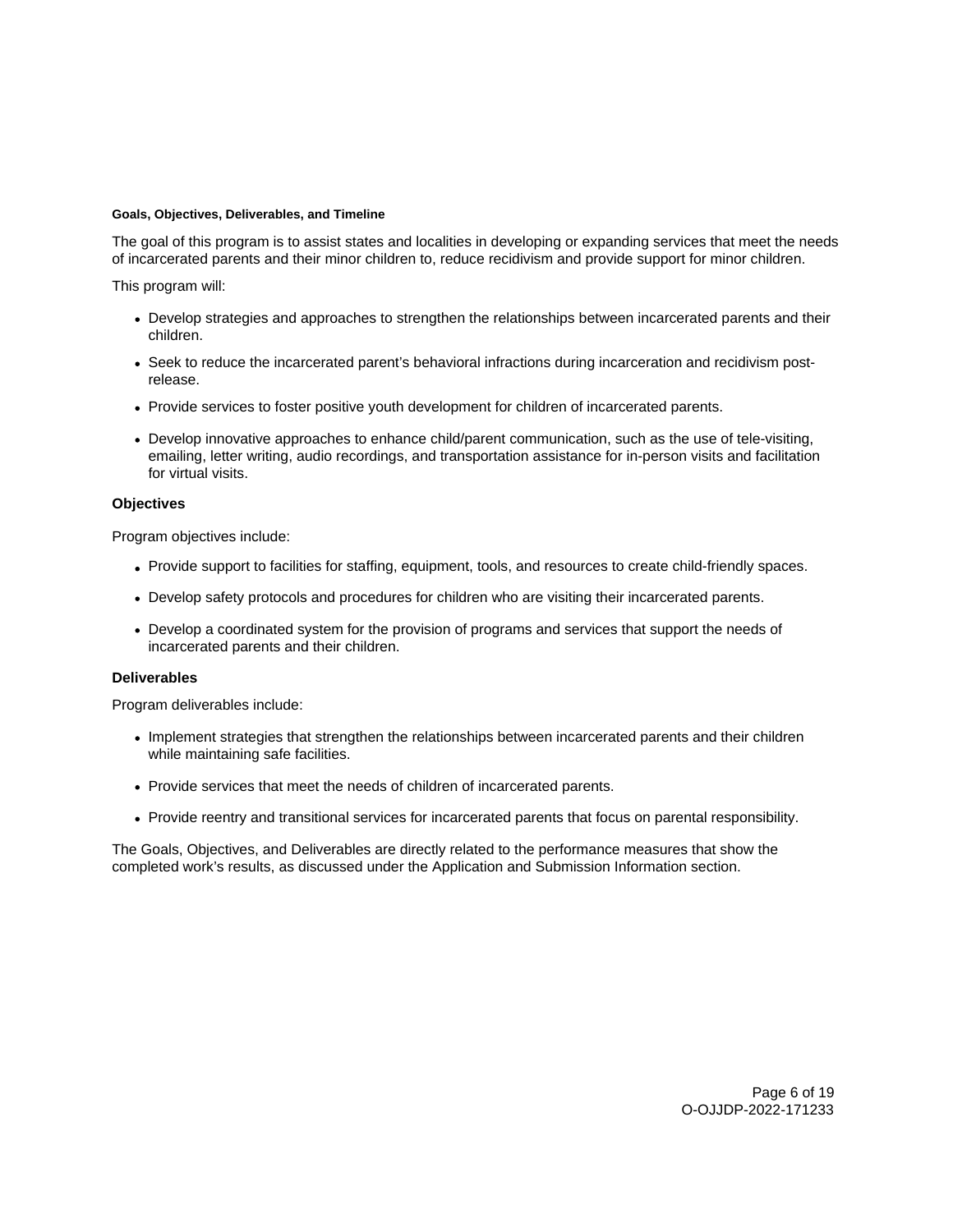# <span id="page-5-0"></span>**Goals, Objectives, Deliverables, and Timeline**

The goal of this program is to assist states and localities in developing or expanding services that meet the needs of incarcerated parents and their minor children to, reduce recidivism and provide support for minor children.

This program will:

- Develop strategies and approaches to strengthen the relationships between incarcerated parents and their children.
- Seek to reduce the incarcerated parent's behavioral infractions during incarceration and recidivism postrelease.
- Provide services to foster positive youth development for children of incarcerated parents.
- Develop innovative approaches to enhance child/parent communication, such as the use of tele-visiting, emailing, letter writing, audio recordings, and transportation assistance for in-person visits and facilitation for virtual visits.

# **Objectives**

Program objectives include:

- Provide support to facilities for staffing, equipment, tools, and resources to create child-friendly spaces.
- Develop safety protocols and procedures for children who are visiting their incarcerated parents.
- Develop a coordinated system for the provision of programs and services that support the needs of incarcerated parents and their children.

# **Deliverables**

Program deliverables include:

- Implement strategies that strengthen the relationships between incarcerated parents and their children while maintaining safe facilities.
- Provide services that meet the needs of children of incarcerated parents.
- Provide reentry and transitional services for incarcerated parents that focus on parental responsibility.

The Goals, Objectives, and Deliverables are directly related to the performance measures that show the completed work's results, as discussed under the Application and Submission Information section.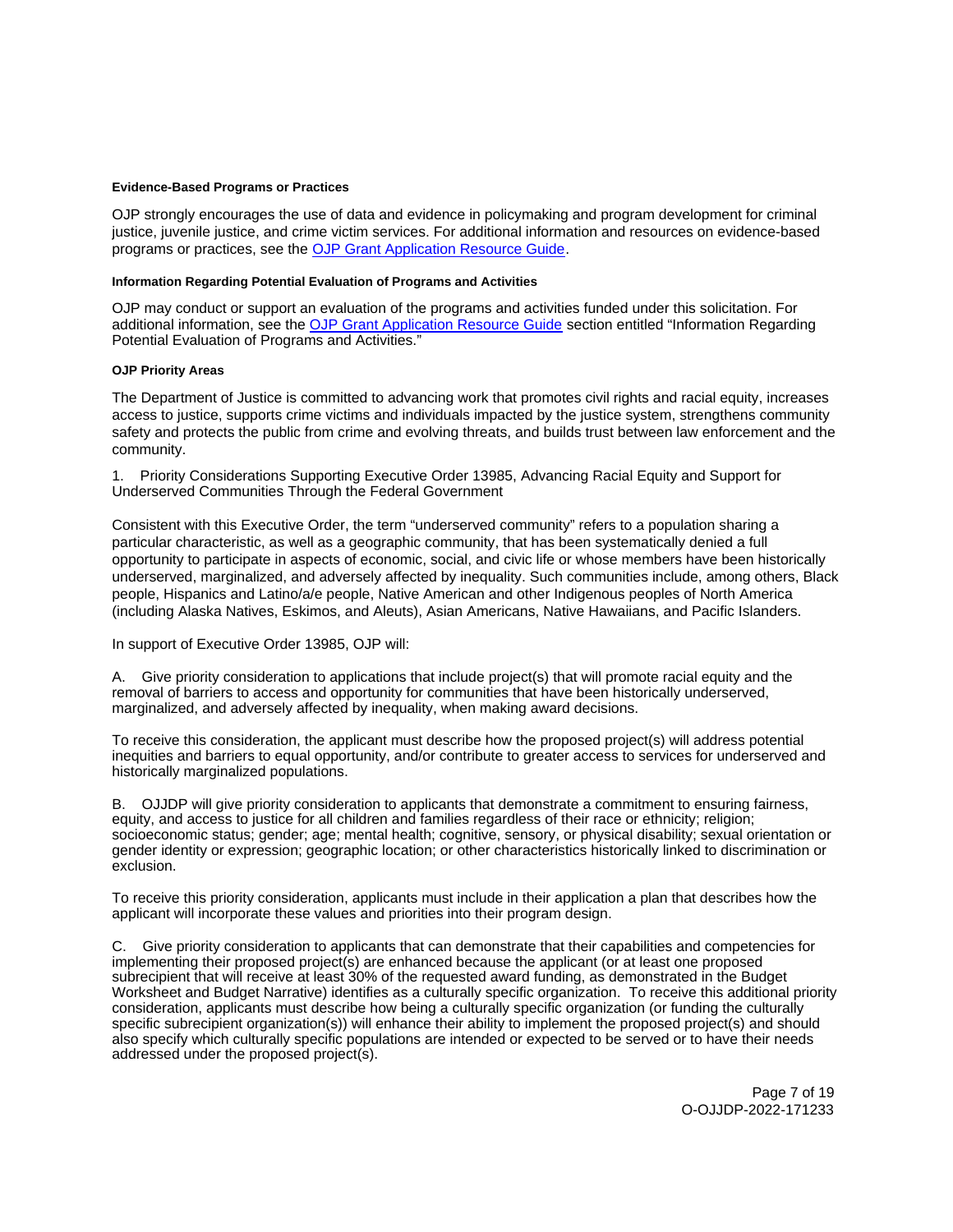#### <span id="page-6-0"></span>**Evidence-Based Programs or Practices**

OJP strongly encourages the use of data and evidence in policymaking and program development for criminal justice, juvenile justice, and crime victim services. For additional information and resources on evidence-based programs or practices, see the [OJP Grant Application Resource Guide.](https://www.ojp.gov/funding/apply/ojp-grant-application-resource-guide#evidence-based)

# **Information Regarding Potential Evaluation of Programs and Activities**

OJP may conduct or support an evaluation of the programs and activities funded under this solicitation. For additional information, see the [OJP Grant Application Resource Guide](https://www.ojp.gov/funding/apply/ojp-grant-application-resource-guide#potential-evaluation) section entitled "Information Regarding Potential Evaluation of Programs and Activities."

#### **OJP Priority Areas**

The Department of Justice is committed to advancing work that promotes civil rights and racial equity, increases access to justice, supports crime victims and individuals impacted by the justice system, strengthens community safety and protects the public from crime and evolving threats, and builds trust between law enforcement and the community.

1. Priority Considerations Supporting Executive Order 13985, Advancing Racial Equity and Support for Underserved Communities Through the Federal Government

Consistent with this Executive Order, the term "underserved community" refers to a population sharing a particular characteristic, as well as a geographic community, that has been systematically denied a full opportunity to participate in aspects of economic, social, and civic life or whose members have been historically underserved, marginalized, and adversely affected by inequality. Such communities include, among others, Black people, Hispanics and Latino/a/e people, Native American and other Indigenous peoples of North America (including Alaska Natives, Eskimos, and Aleuts), Asian Americans, Native Hawaiians, and Pacific Islanders.

In support of Executive Order 13985, OJP will:

A. Give priority consideration to applications that include project(s) that will promote racial equity and the removal of barriers to access and opportunity for communities that have been historically underserved, marginalized, and adversely affected by inequality, when making award decisions.

To receive this consideration, the applicant must describe how the proposed project(s) will address potential inequities and barriers to equal opportunity, and/or contribute to greater access to services for underserved and historically marginalized populations.

B. OJJDP will give priority consideration to applicants that demonstrate a commitment to ensuring fairness, equity, and access to justice for all children and families regardless of their race or ethnicity; religion; socioeconomic status; gender; age; mental health; cognitive, sensory, or physical disability; sexual orientation or gender identity or expression; geographic location; or other characteristics historically linked to discrimination or exclusion.

To receive this priority consideration, applicants must include in their application a plan that describes how the applicant will incorporate these values and priorities into their program design.

C. Give priority consideration to applicants that can demonstrate that their capabilities and competencies for implementing their proposed project(s) are enhanced because the applicant (or at least one proposed subrecipient that will receive at least 30% of the requested award funding, as demonstrated in the Budget Worksheet and Budget Narrative) identifies as a culturally specific organization. To receive this additional priority consideration, applicants must describe how being a culturally specific organization (or funding the culturally specific subrecipient organization(s)) will enhance their ability to implement the proposed project(s) and should also specify which culturally specific populations are intended or expected to be served or to have their needs addressed under the proposed project(s).

> Page 7 of 19 O-OJJDP-2022-171233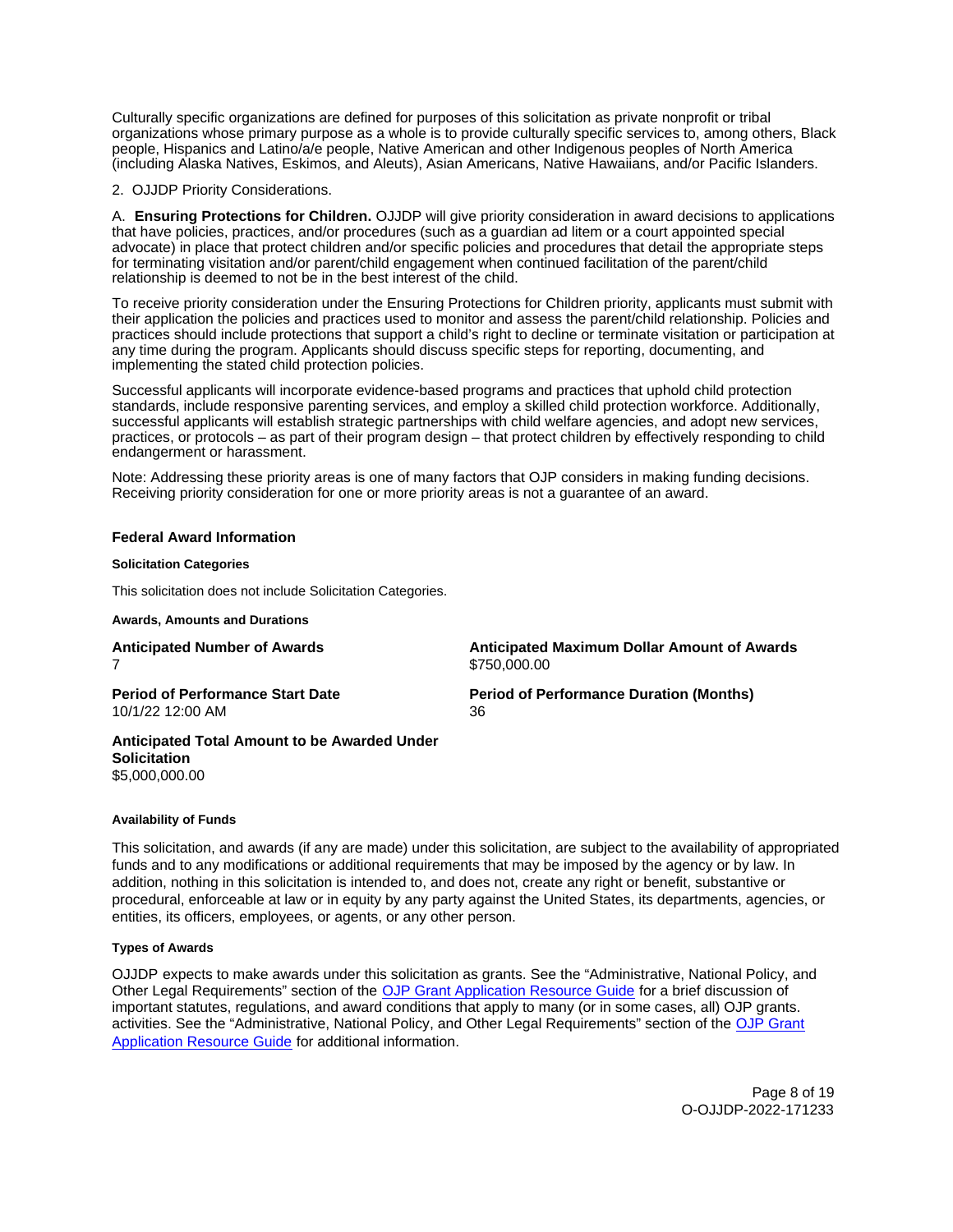<span id="page-7-0"></span>Culturally specific organizations are defined for purposes of this solicitation as private nonprofit or tribal organizations whose primary purpose as a whole is to provide culturally specific services to, among others, Black people, Hispanics and Latino/a/e people, Native American and other Indigenous peoples of North America (including Alaska Natives, Eskimos, and Aleuts), Asian Americans, Native Hawaiians, and/or Pacific Islanders.

2. OJJDP Priority Considerations.

A. **Ensuring Protections for Children.** OJJDP will give priority consideration in award decisions to applications that have policies, practices, and/or procedures (such as a guardian ad litem or a court appointed special advocate) in place that protect children and/or specific policies and procedures that detail the appropriate steps for terminating visitation and/or parent/child engagement when continued facilitation of the parent/child relationship is deemed to not be in the best interest of the child.

To receive priority consideration under the Ensuring Protections for Children priority, applicants must submit with their application the policies and practices used to monitor and assess the parent/child relationship. Policies and practices should include protections that support a child's right to decline or terminate visitation or participation at any time during the program. Applicants should discuss specific steps for reporting, documenting, and implementing the stated child protection policies.

Successful applicants will incorporate evidence-based programs and practices that uphold child protection standards, include responsive parenting services, and employ a skilled child protection workforce. Additionally, successful applicants will establish strategic partnerships with child welfare agencies, and adopt new services, practices, or protocols – as part of their program design – that protect children by effectively responding to child endangerment or harassment.

Note: Addressing these priority areas is one of many factors that OJP considers in making funding decisions. Receiving priority consideration for one or more priority areas is not a guarantee of an award.

# **Federal Award Information**

#### **Solicitation Categories**

This solicitation does not include Solicitation Categories.

**Awards, Amounts and Durations** 

7 \$[750,000.00](https://750,000.00) 

**Anticipated Number of Awards Anticipated Maximum Dollar Amount of Awards** 

10/1/22 12:00 AM 36

**Period of Performance Start Date Mate Review Period of Performance Duration (Months)** 

**Anticipated Total Amount to be Awarded Under Solicitation**  [\\$5,000,000.00](https://5,000,000.00) 

#### **Availability of Funds**

This solicitation, and awards (if any are made) under this solicitation, are subject to the availability of appropriated funds and to any modifications or additional requirements that may be imposed by the agency or by law. In addition, nothing in this solicitation is intended to, and does not, create any right or benefit, substantive or procedural, enforceable at law or in equity by any party against the United States, its departments, agencies, or entities, its officers, employees, or agents, or any other person.

# **Types of Awards**

OJJDP expects to make awards under this solicitation as grants. See the "Administrative, National Policy, and Other Legal Requirements" section of the [OJP Grant Application Resource Guide](https://ojp.gov/funding/Apply/Resources/Grant-App-Resource-Guide.htm) for a brief discussion of important statutes, regulations, and award conditions that apply to many (or in some cases, all) OJP grants. activities. See the "Administrative, National Policy, and Other Legal Requirements" section of the OJP Grant [Application Resource Guide](https://www.ojp.gov/funding/apply/ojp-grant-application-resource-guide#administrative) for additional information.

> Page 8 of 19 O-OJJDP-2022-171233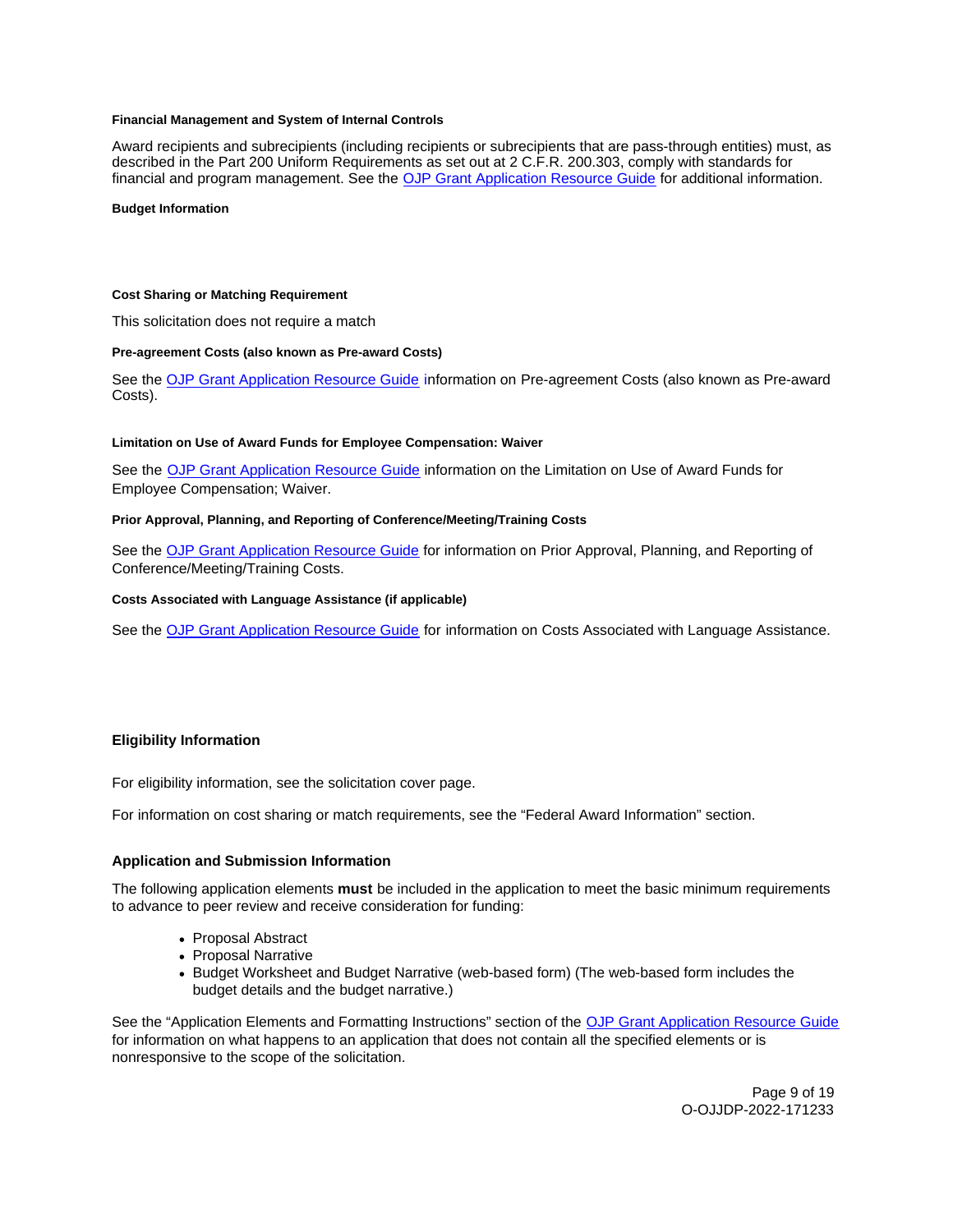## <span id="page-8-0"></span>**Financial Management and System of Internal Controls**

Award recipients and subrecipients (including recipients or subrecipients that are pass-through entities) must, as described in the Part 200 Uniform Requirements as set out at 2 C.F.R. 200.303, comply with standards for financial and program management. See the [OJP Grant Application Resource Guide](https://www.ojp.gov/funding/apply/ojp-grant-application-resource-guide#fm-internal-controls) for additional information.

#### **Budget Information**

#### **Cost Sharing or Matching Requirement**

This solicitation does not require a match

#### **Pre-agreement Costs (also known as Pre-award Costs)**

See the [OJP Grant Application Resource Guide](https://www.ojp.gov/funding/apply/ojp-grant-application-resource-guide#pre-agreement-costs) information on Pre-agreement Costs (also known as Pre-award Costs).

#### **Limitation on Use of Award Funds for Employee Compensation: Waiver**

See the **[OJP Grant Application Resource Guide](https://www.ojp.gov/funding/apply/ojp-grant-application-resource-guide#limitation-use-award) information on the Limitation on Use of Award Funds for** Employee Compensation; Waiver.

## **Prior Approval, Planning, and Reporting of Conference/Meeting/Training Costs**

See the [OJP Grant Application Resource Guide](https://www.ojp.gov/funding/apply/ojp-grant-application-resource-guide#prior-approval) for information on Prior Approval, Planning, and Reporting of Conference/Meeting/Training Costs.

#### **Costs Associated with Language Assistance (if applicable)**

See the [OJP Grant Application Resource Guide](https://www.ojp.gov/funding/apply/ojp-grant-application-resource-guide#costs-associated) for information on Costs Associated with Language Assistance.

# **Eligibility Information**

For eligibility information, see the solicitation cover page.

For information on cost sharing or match requirements, see the "Federal Award Information" section.

#### **Application and Submission Information**

The following application elements **must** be included in the application to meet the basic minimum requirements to advance to peer review and receive consideration for funding:

- Proposal Abstract
- Proposal Narrative
- Budget Worksheet and Budget Narrative (web-based form) (The web-based form includes the budget details and the budget narrative.)

See the "Application Elements and Formatting Instructions" section of the [OJP Grant Application Resource Guide](https://ojp.gov/funding/Apply/Resources/Grant-App-Resource-Guide.htm)  for information on what happens to an application that does not contain all the specified elements or is nonresponsive to the scope of the solicitation.

> Page 9 of 19 O-OJJDP-2022-171233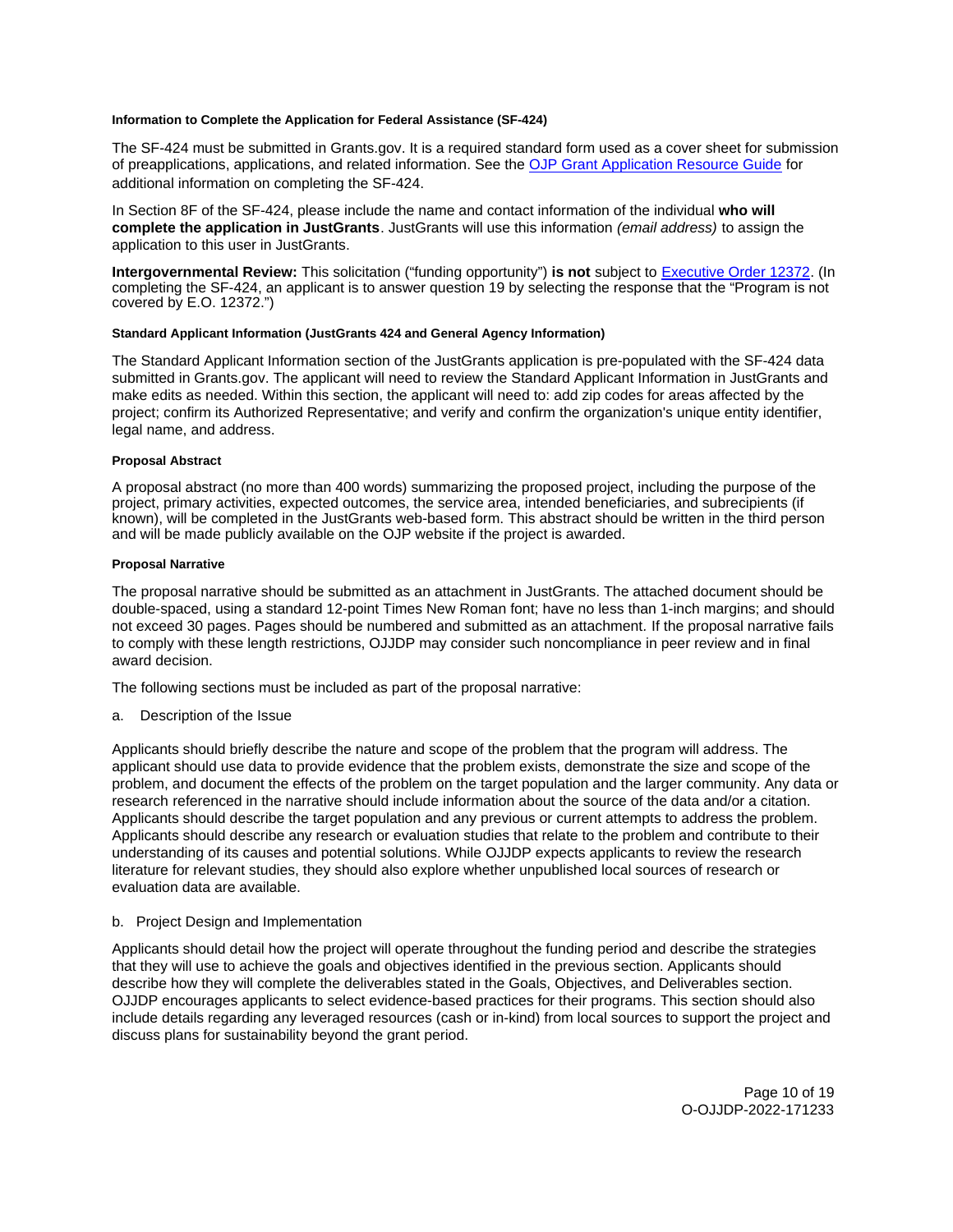## <span id="page-9-0"></span>**Information to Complete the Application for Federal Assistance (SF-424)**

The SF-424 must be submitted in [Grants.gov](https://Grants.gov). It is a required standard form used as a cover sheet for submission of preapplications, applications, and related information. See the [OJP Grant Application Resource Guide](https://www.ojp.gov/funding/Apply/Resources/Grant-App-Resource-Guide.htm) for additional information on completing the SF-424.

In Section 8F of the SF-424, please include the name and contact information of the individual **who will complete the application in JustGrants**. JustGrants will use this information (email address) to assign the application to this user in JustGrants.

**Intergovernmental Review:** This solicitation ("funding opportunity") **is not** subject to [Executive Order 12372.](https://www.archives.gov/federal-register/codification/executive-order/12372.html) (In completing the SF-424, an applicant is to answer question 19 by selecting the response that the "Program is not covered by E.O. 12372.")

# **Standard Applicant Information (JustGrants 424 and General Agency Information)**

The Standard Applicant Information section of the JustGrants application is pre-populated with the SF-424 data submitted in [Grants.gov.](https://Grants.gov) The applicant will need to review the Standard Applicant Information in JustGrants and make edits as needed. Within this section, the applicant will need to: add zip codes for areas affected by the project; confirm its Authorized Representative; and verify and confirm the organization's unique entity identifier, legal name, and address.

# **Proposal Abstract**

A proposal abstract (no more than 400 words) summarizing the proposed project, including the purpose of the project, primary activities, expected outcomes, the service area, intended beneficiaries, and subrecipients (if known), will be completed in the JustGrants web-based form. This abstract should be written in the third person and will be made publicly available on the OJP website if the project is awarded.

# **Proposal Narrative**

The proposal narrative should be submitted as an attachment in JustGrants. The attached document should be double-spaced, using a standard 12-point Times New Roman font; have no less than 1-inch margins; and should not exceed 30 pages. Pages should be numbered and submitted as an attachment. If the proposal narrative fails to comply with these length restrictions, OJJDP may consider such noncompliance in peer review and in final award decision.

The following sections must be included as part of the proposal narrative:

a. Description of the Issue

Applicants should briefly describe the nature and scope of the problem that the program will address. The applicant should use data to provide evidence that the problem exists, demonstrate the size and scope of the problem, and document the effects of the problem on the target population and the larger community. Any data or research referenced in the narrative should include information about the source of the data and/or a citation. Applicants should describe the target population and any previous or current attempts to address the problem. Applicants should describe any research or evaluation studies that relate to the problem and contribute to their understanding of its causes and potential solutions. While OJJDP expects applicants to review the research literature for relevant studies, they should also explore whether unpublished local sources of research or evaluation data are available.

# b. Project Design and Implementation

Applicants should detail how the project will operate throughout the funding period and describe the strategies that they will use to achieve the goals and objectives identified in the previous section. Applicants should describe how they will complete the deliverables stated in the Goals, Objectives, and Deliverables section. OJJDP encourages applicants to select evidence-based practices for their programs. This section should also include details regarding any leveraged resources (cash or in-kind) from local sources to support the project and discuss plans for sustainability beyond the grant period.

> Page 10 of 19 O-OJJDP-2022-171233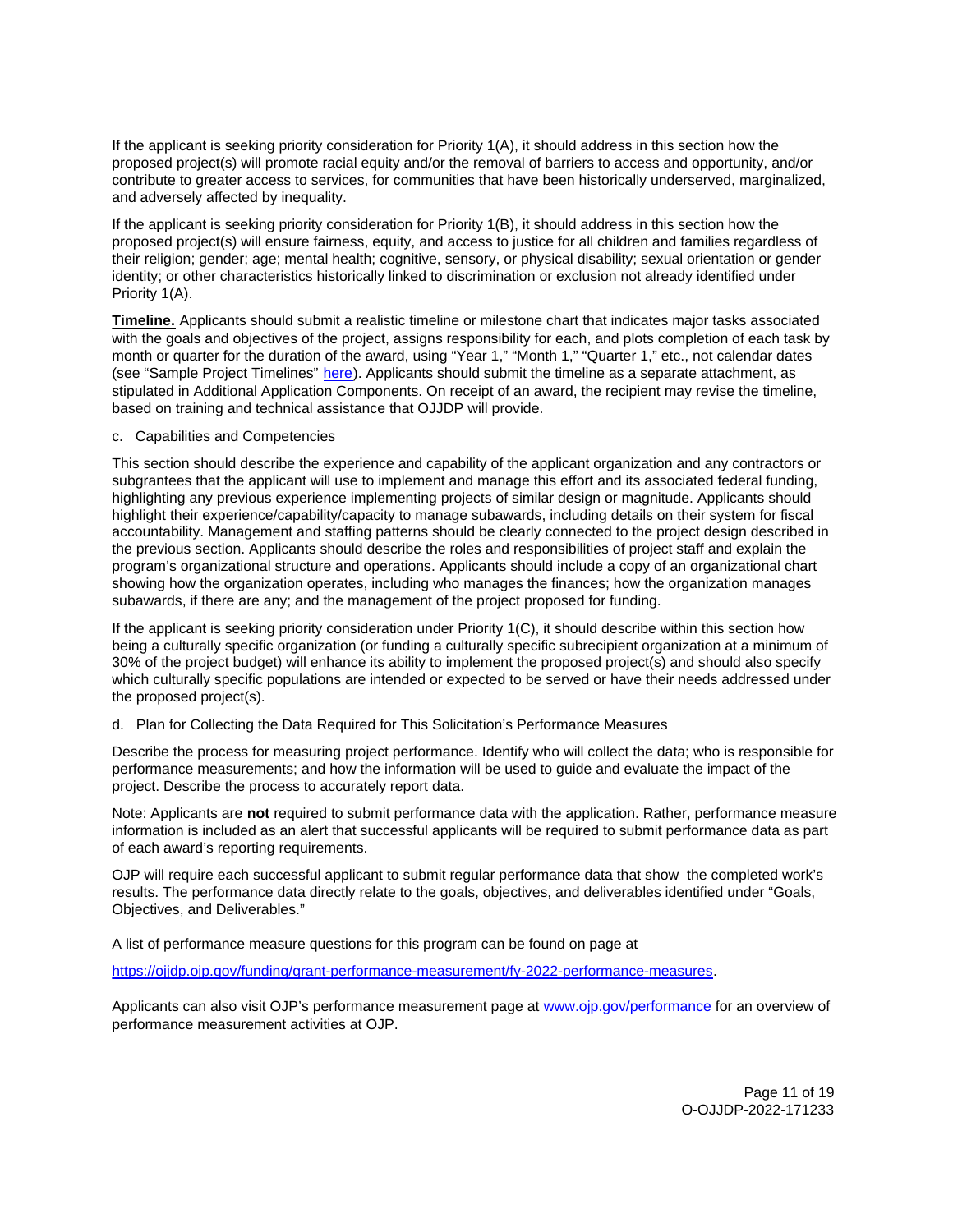If the applicant is seeking priority consideration for Priority 1(A), it should address in this section how the proposed project(s) will promote racial equity and/or the removal of barriers to access and opportunity, and/or contribute to greater access to services, for communities that have been historically underserved, marginalized, and adversely affected by inequality.

If the applicant is seeking priority consideration for Priority 1(B), it should address in this section how the proposed project(s) will ensure fairness, equity, and access to justice for all children and families regardless of their religion; gender; age; mental health; cognitive, sensory, or physical disability; sexual orientation or gender identity; or other characteristics historically linked to discrimination or exclusion not already identified under Priority 1(A).

**Timeline.** Applicants should submit a realistic timeline or milestone chart that indicates major tasks associated with the goals and objectives of the project, assigns responsibility for each, and plots completion of each task by month or quarter for the duration of the award, using "Year 1," "Month 1," "Quarter 1," etc., not calendar dates (see "Sample Project Timelines" [here\)](https://ojjdp.ojp.gov/funding/ojjdp-sample-timelines). Applicants should submit the timeline as a separate attachment, as stipulated in Additional Application Components. On receipt of an award, the recipient may revise the timeline, based on training and technical assistance that OJJDP will provide.

c. Capabilities and Competencies

This section should describe the experience and capability of the applicant organization and any contractors or subgrantees that the applicant will use to implement and manage this effort and its associated federal funding, highlighting any previous experience implementing projects of similar design or magnitude. Applicants should highlight their experience/capability/capacity to manage subawards, including details on their system for fiscal accountability. Management and staffing patterns should be clearly connected to the project design described in the previous section. Applicants should describe the roles and responsibilities of project staff and explain the program's organizational structure and operations. Applicants should include a copy of an organizational chart showing how the organization operates, including who manages the finances; how the organization manages subawards, if there are any; and the management of the project proposed for funding.

If the applicant is seeking priority consideration under Priority 1(C), it should describe within this section how being a culturally specific organization (or funding a culturally specific subrecipient organization at a minimum of 30% of the project budget) will enhance its ability to implement the proposed project(s) and should also specify which culturally specific populations are intended or expected to be served or have their needs addressed under the proposed project(s).

# d. Plan for Collecting the Data Required for This Solicitation's Performance Measures

Describe the process for measuring project performance. Identify who will collect the data; who is responsible for performance measurements; and how the information will be used to guide and evaluate the impact of the project. Describe the process to accurately report data.

Note: Applicants are **not** required to submit performance data with the application. Rather, performance measure information is included as an alert that successful applicants will be required to submit performance data as part of each award's reporting requirements.

OJP will require each successful applicant to submit regular performance data that show the completed work's results. The performance data directly relate to the goals, objectives, and deliverables identified under "Goals, Objectives, and Deliverables."

A list of performance measure questions for this program can be found on page at

[https://ojjdp.ojp.gov/funding/grant-performance-measurement/fy-2022-performance-measures.](https://ojjdp.ojp.gov/funding/grant-performance-measurement/fy-2021-performance-measures)

Applicants can also visit OJP's performance measurement page at [www.ojp.gov/performance](https://www.ojp.gov/performance) for an overview of performance measurement activities at OJP.

> Page 11 of 19 O-OJJDP-2022-171233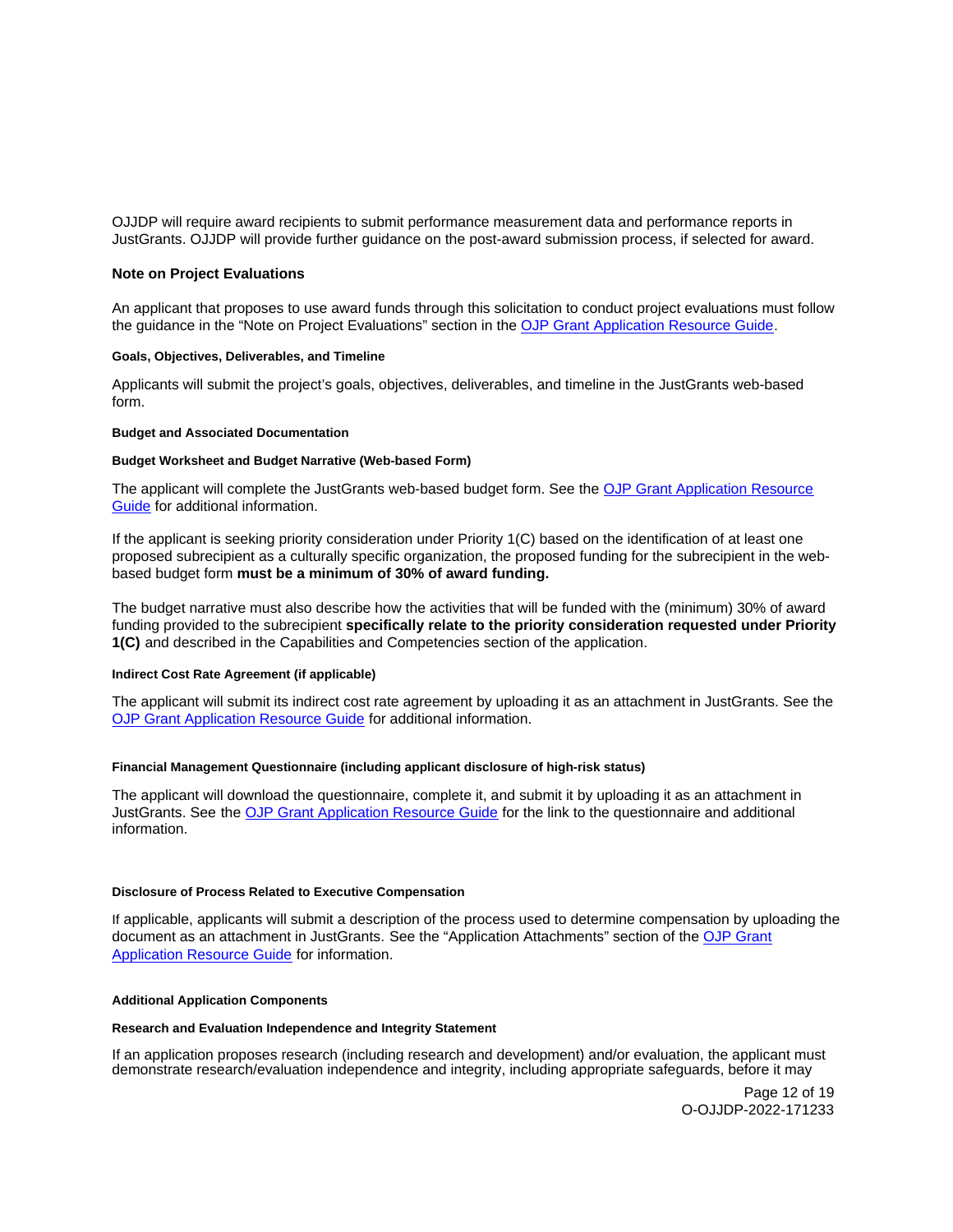<span id="page-11-0"></span>OJJDP will require award recipients to submit performance measurement data and performance reports in JustGrants. OJJDP will provide further guidance on the post-award submission process, if selected for award.

# **Note on Project Evaluations**

An applicant that proposes to use award funds through this solicitation to conduct project evaluations must follow the guidance in the "Note on Project Evaluations" section in the [OJP Grant Application Resource Guide.](https://www.ojp.gov/funding/Apply/Resources/Grant-App-Resource-Guide.htm)

### **Goals, Objectives, Deliverables, and Timeline**

Applicants will submit the project's goals, objectives, deliverables, and timeline in the JustGrants web-based form.

#### **Budget and Associated Documentation**

#### **Budget Worksheet and Budget Narrative (Web-based Form)**

The applicant will complete the JustGrants web-based budget form. See the [OJP Grant Application Resource](https://www.ojp.gov/funding/apply/ojp-grant-application-resource-guide#budget-prep)  [Guide](https://www.ojp.gov/funding/apply/ojp-grant-application-resource-guide#budget-prep) for additional information.

If the applicant is seeking priority consideration under Priority 1(C) based on the identification of at least one proposed subrecipient as a culturally specific organization, the proposed funding for the subrecipient in the webbased budget form **must be a minimum of 30% of award funding.** 

The budget narrative must also describe how the activities that will be funded with the (minimum) 30% of award funding provided to the subrecipient **specifically relate to the priority consideration requested under Priority 1(C)** and described in the Capabilities and Competencies section of the application.

#### **Indirect Cost Rate Agreement (if applicable)**

The applicant will submit its indirect cost rate agreement by uploading it as an attachment in JustGrants. See the [OJP Grant Application Resource Guide](https://www.ojp.gov/funding/apply/ojp-grant-application-resource-guide#indirect-cost) for additional information.

## **Financial Management Questionnaire (including applicant disclosure of high-risk status)**

The applicant will download the questionnaire, complete it, and submit it by uploading it as an attachment in JustGrants. See the [OJP Grant Application Resource Guide](https://www.ojp.gov/funding/apply/ojp-grant-application-resource-guide#fm-internal-controls-questionnaire) for the link to the questionnaire and additional information.

#### **Disclosure of Process Related to Executive Compensation**

If applicable, applicants will submit a description of the process used to determine compensation by uploading the document as an attachment in JustGrants. See the "Application Attachments" section of the [OJP Grant](https://www.ojp.gov/funding/Apply/Resources/Grant-App-Resource-Guide.htm)  [Application Resource Guide](https://www.ojp.gov/funding/Apply/Resources/Grant-App-Resource-Guide.htm) for information.

#### **Additional Application Components**

# **Research and Evaluation Independence and Integrity Statement**

If an application proposes research (including research and development) and/or evaluation, the applicant must demonstrate research/evaluation independence and integrity, including appropriate safeguards, before it may

> Page 12 of 19 O-OJJDP-2022-171233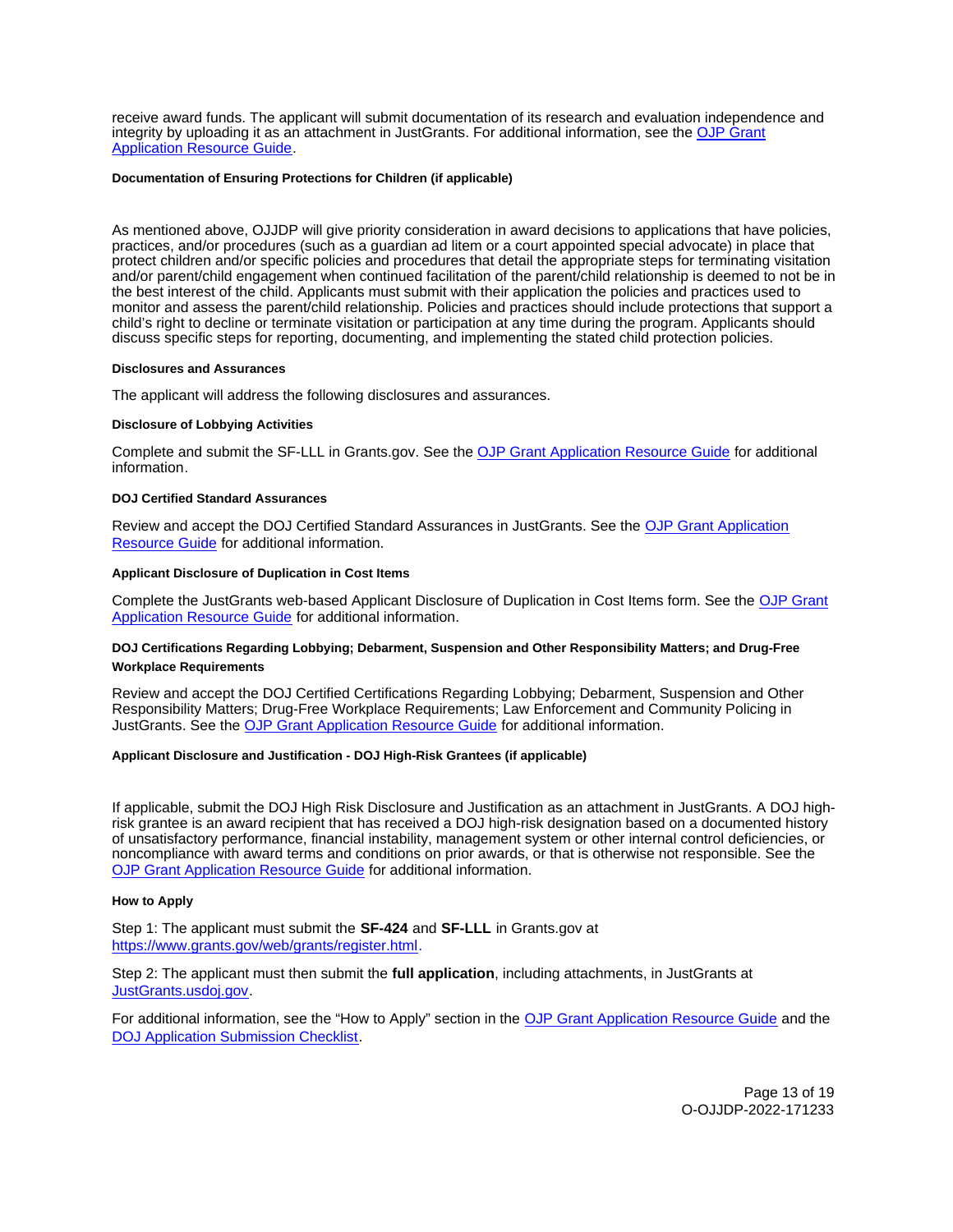<span id="page-12-0"></span>receive award funds. The applicant will submit documentation of its research and evaluation independence and integrity by uploading it as an attachment in JustGrants. For additional information, see the [OJP Grant](https://www.ojp.gov/funding/apply/ojp-grant-application-resource-guide#research-evaluation)  [Application Resource Guide.](https://www.ojp.gov/funding/apply/ojp-grant-application-resource-guide#research-evaluation)

## **Documentation of Ensuring Protections for Children (if applicable)**

As mentioned above, OJJDP will give priority consideration in award decisions to applications that have policies, practices, and/or procedures (such as a guardian ad litem or a court appointed special advocate) in place that protect children and/or specific policies and procedures that detail the appropriate steps for terminating visitation and/or parent/child engagement when continued facilitation of the parent/child relationship is deemed to not be in the best interest of the child. Applicants must submit with their application the policies and practices used to monitor and assess the parent/child relationship. Policies and practices should include protections that support a child's right to decline or terminate visitation or participation at any time during the program. Applicants should discuss specific steps for reporting, documenting, and implementing the stated child protection policies.

#### **Disclosures and Assurances**

The applicant will address the following disclosures and assurances.

#### **Disclosure of Lobbying Activities**

Complete and submit the SF-LLL in [Grants.gov.](https://Grants.gov) See the [OJP Grant Application Resource Guide](https://www.ojp.gov/funding/apply/ojp-grant-application-resource-guide#disclosure-lobby) for additional information.

#### **DOJ Certified Standard Assurances**

Review and accept the DOJ Certified Standard Assurances in JustGrants. See the [OJP Grant Application](https://www.ojp.gov/funding/apply/ojp-grant-application-resource-guide#administrative)  [Resource Guide](https://www.ojp.gov/funding/apply/ojp-grant-application-resource-guide#administrative) for additional information.

## **Applicant Disclosure of Duplication in Cost Items**

Complete the JustGrants web-based Applicant Disclosure of Duplication in Cost Items form. See the [OJP Grant](https://www.ojp.gov/funding/apply/ojp-grant-application-resource-guide#applicant-disclosure-pending-applications)  [Application Resource Guide](https://www.ojp.gov/funding/apply/ojp-grant-application-resource-guide#applicant-disclosure-pending-applications) for additional information.

# **DOJ Certifications Regarding Lobbying; Debarment, Suspension and Other Responsibility Matters; and Drug-Free Workplace Requirements**

Review and accept the DOJ Certified Certifications Regarding Lobbying; Debarment, Suspension and Other Responsibility Matters; Drug-Free Workplace Requirements; Law Enforcement and Community Policing in JustGrants. See the [OJP Grant Application Resource Guide](https://www.ojp.gov/funding/apply/ojp-grant-application-resource-guide#administrative) for additional information.

# **Applicant Disclosure and Justification - DOJ High-Risk Grantees (if applicable)**

If applicable, submit the DOJ High Risk Disclosure and Justification as an attachment in JustGrants. A DOJ highrisk grantee is an award recipient that has received a DOJ high-risk designation based on a documented history of unsatisfactory performance, financial instability, management system or other internal control deficiencies, or noncompliance with award terms and conditions on prior awards, or that is otherwise not responsible. See the [OJP Grant Application Resource Guide](https://www.ojp.gov/funding/apply/ojp-grant-application-resource-guide) for additional information.

#### **How to Apply**

Step 1: The applicant must submit the **SF-424** and **SF-LLL** in [Grants.gov](https://Grants.gov) at [https://www.grants.gov/web/grants/register.html.](https://www.grants.gov/web/grants/register.html)

Step 2: The applicant must then submit the **full application**, including attachments, in JustGrants at [JustGrants.usdoj.gov.](https://justicegrants.usdoj.gov/)

For additional information, see the "How to Apply" section in the [OJP Grant Application Resource Guide](https://www.ojp.gov/funding/apply/ojp-grant-application-resource-guide#apply) and the [DOJ Application Submission Checklist.](https://justicegrants.usdoj.gov/sites/g/files/xyckuh296/files/media/document/appln-submission-checklist.pdf)

> Page 13 of 19 O-OJJDP-2022-171233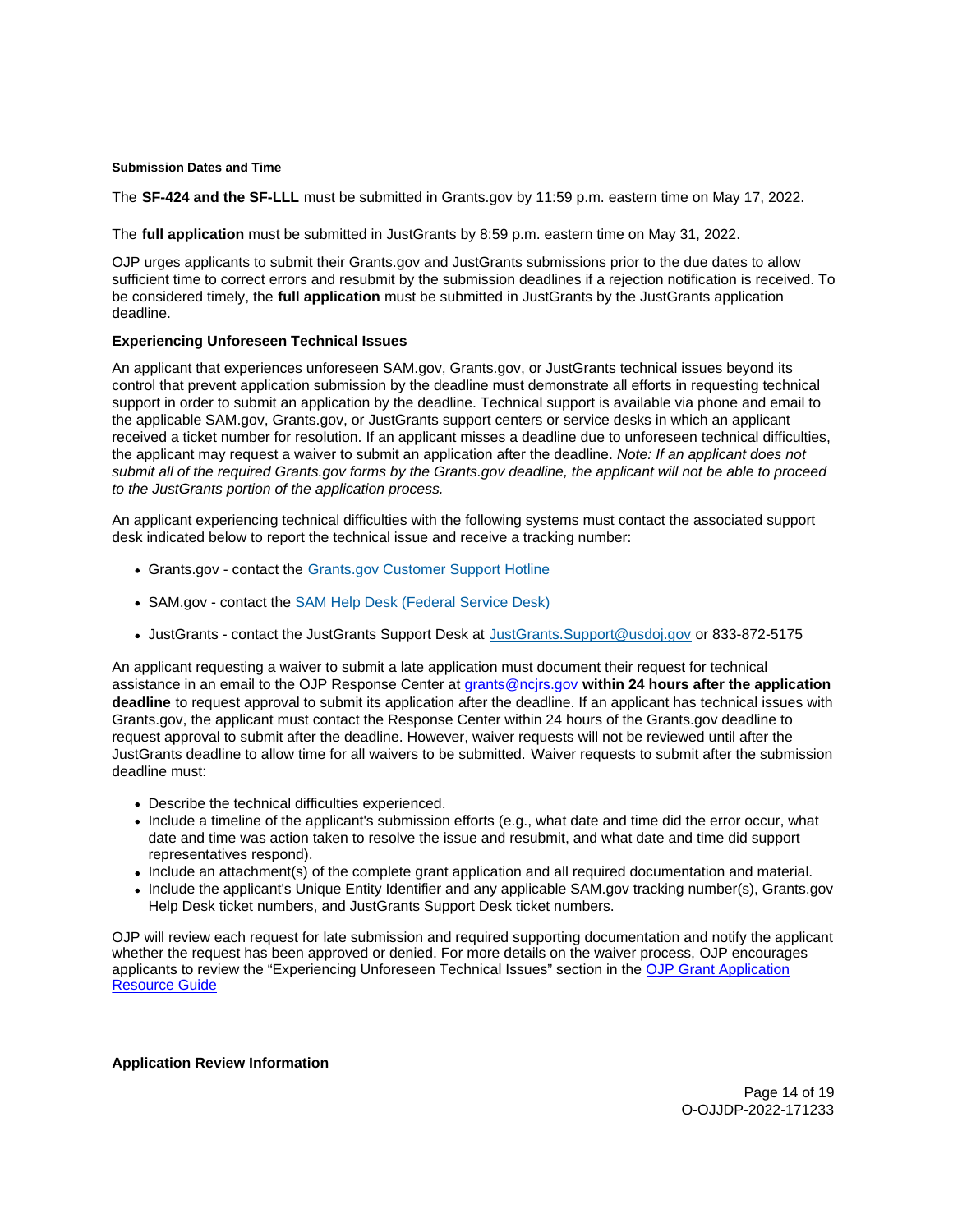## <span id="page-13-0"></span>**Submission Dates and Time**

The **SF-424 and the SF-LLL** must be submitted in [Grants.gov](https://Grants.gov) by 11:59 p.m. eastern time on May 17, 2022.

The **full application** must be submitted in JustGrants by 8:59 p.m. eastern time on May 31, 2022.

OJP urges applicants to submit their [Grants.gov](https://Grants.gov) and JustGrants submissions prior to the due dates to allow sufficient time to correct errors and resubmit by the submission deadlines if a rejection notification is received. To be considered timely, the **full application** must be submitted in JustGrants by the JustGrants application deadline.

# **Experiencing Unforeseen Technical Issues**

An applicant that experiences unforeseen SAM.gov, [Grants.gov,](https://Grants.gov) or JustGrants technical issues beyond its control that prevent application submission by the deadline must demonstrate all efforts in requesting technical support in order to submit an application by the deadline. Technical support is available via phone and email to the applicable SAM.gov, [Grants.gov,](https://Grants.gov) or JustGrants support centers or service desks in which an applicant received a ticket number for resolution. If an applicant misses a deadline due to unforeseen technical difficulties, the applicant may request a waiver to submit an application after the deadline. Note: If an applicant does not submit all of the required [Grants.gov](https://Grants.gov) forms by the [Grants.gov](https://Grants.gov) deadline, the applicant will not be able to proceed to the JustGrants portion of the application process.

An applicant experiencing technical difficulties with the following systems must contact the associated support desk indicated below to report the technical issue and receive a tracking number:

- [Grants.gov](https://Grants.gov)  contact the [Grants.gov Customer Support Hotline](https://www.grants.gov/web/grants/support.html)
- SAM.gov contact the [SAM Help Desk \(Federal Service Desk\)](https://www.fsd.gov/gsafsd_sp)
- JustGrants contact the JustGrants Support Desk at [JustGrants.Support@usdoj.gov](mailto:JustGrants.Support@usdoj.gov) or 833-872-5175

An applicant requesting a waiver to submit a late application must document their request for technical assistance in an email to the OJP Response Center at [grants@ncjrs.gov](file:///C:/Users/local_Yehj/INetCache/Content.Outlook/20U4XBR7/grants@ncjrs.gov) **within 24 hours after the application deadline** to request approval to submit its application after the deadline. If an applicant has technical issues with [Grants.gov,](https://Grants.gov) the applicant must contact the Response Center within 24 hours of the [Grants.gov](https://Grants.gov) deadline to request approval to submit after the deadline. However, waiver requests will not be reviewed until after the JustGrants deadline to allow time for all waivers to be submitted. Waiver requests to submit after the submission deadline must:

- Describe the technical difficulties experienced.
- Include a timeline of the applicant's submission efforts (e.g., what date and time did the error occur, what date and time was action taken to resolve the issue and resubmit, and what date and time did support representatives respond).
- Include an attachment(s) of the complete grant application and all required documentation and material.
- Include the applicant's Unique Entity Identifier and any applicable SAM.gov tracking number(s), Grants.gov Help Desk ticket numbers, and JustGrants Support Desk ticket numbers.

OJP will review each request for late submission and required supporting documentation and notify the applicant whether the request has been approved or denied. For more details on the waiver process, OJP encourages applicants to review the "Experiencing Unforeseen Technical Issues" section in the [OJP Grant Application](https://www.ojp.gov/funding/apply/ojp-grant-application-resource-guide#experiencing-unforeseen-technical-issues)  [Resource Guide](https://www.ojp.gov/funding/apply/ojp-grant-application-resource-guide#experiencing-unforeseen-technical-issues) 

#### **Application Review Information**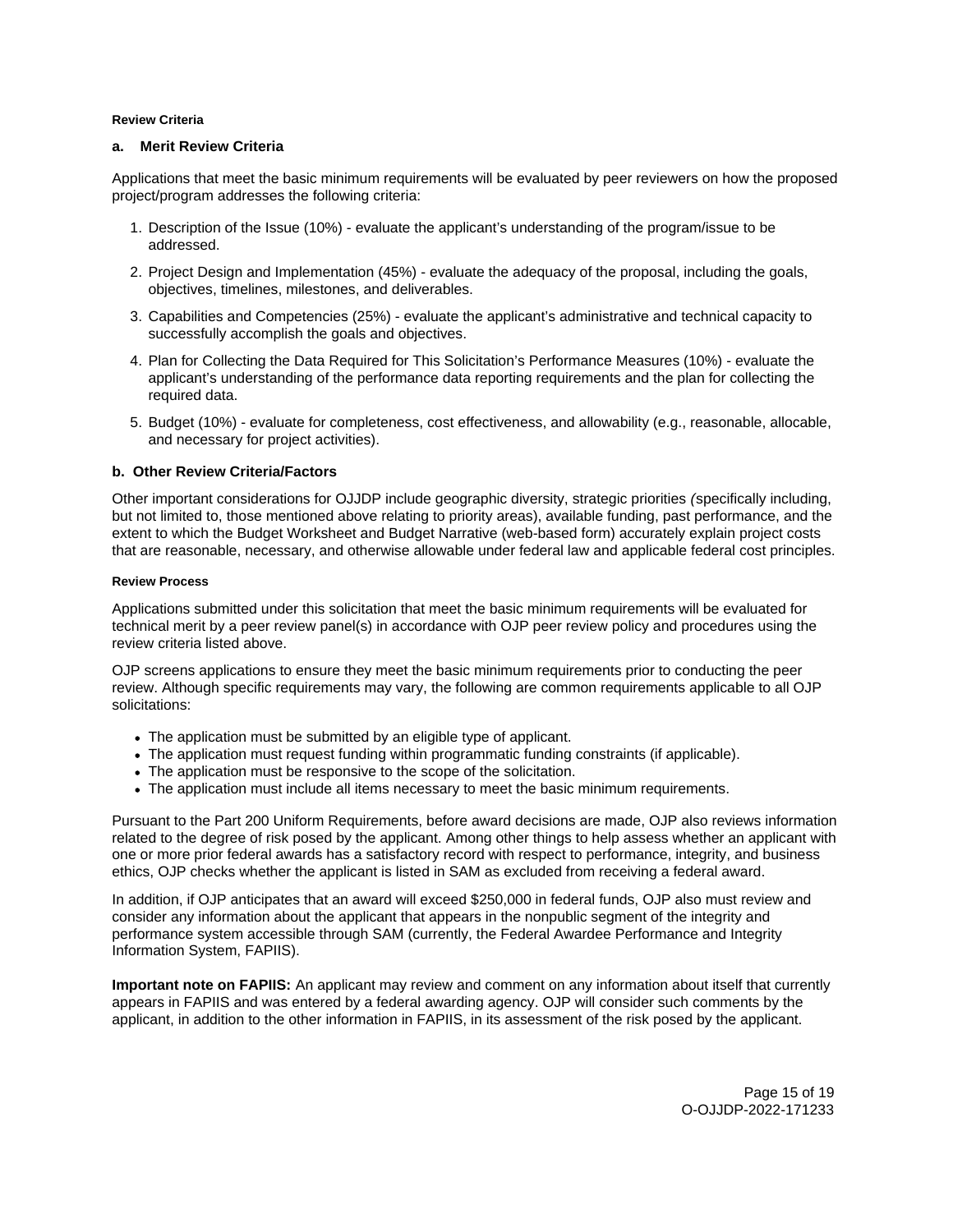# <span id="page-14-0"></span>**Review Criteria**

# **a. Merit Review Criteria**

Applications that meet the basic minimum requirements will be evaluated by peer reviewers on how the proposed project/program addresses the following criteria:

- 1. Description of the Issue (10%) evaluate the applicant's understanding of the program/issue to be addressed.
- 2. Project Design and Implementation (45%) evaluate the adequacy of the proposal, including the goals, objectives, timelines, milestones, and deliverables.
- 3. Capabilities and Competencies (25%) evaluate the applicant's administrative and technical capacity to successfully accomplish the goals and objectives.
- 4. Plan for Collecting the Data Required for This Solicitation's Performance Measures (10%) evaluate the applicant's understanding of the performance data reporting requirements and the plan for collecting the required data.
- 5. Budget (10%) evaluate for completeness, cost effectiveness, and allowability (e.g., reasonable, allocable, and necessary for project activities).

# **b. Other Review Criteria/Factors**

Other important considerations for OJJDP include geographic diversity, strategic priorities (specifically including, but not limited to, those mentioned above relating to priority areas), available funding, past performance, and the extent to which the Budget Worksheet and Budget Narrative (web-based form) accurately explain project costs that are reasonable, necessary, and otherwise allowable under federal law and applicable federal cost principles.

#### **Review Process**

Applications submitted under this solicitation that meet the basic minimum requirements will be evaluated for technical merit by a peer review panel(s) in accordance with OJP peer review policy and procedures using the review criteria listed above.

OJP screens applications to ensure they meet the basic minimum requirements prior to conducting the peer review. Although specific requirements may vary, the following are common requirements applicable to all OJP solicitations:

- The application must be submitted by an eligible type of applicant.
- The application must request funding within programmatic funding constraints (if applicable).
- The application must be responsive to the scope of the solicitation.
- The application must include all items necessary to meet the basic minimum requirements.

Pursuant to the Part 200 Uniform Requirements, before award decisions are made, OJP also reviews information related to the degree of risk posed by the applicant. Among other things to help assess whether an applicant with one or more prior federal awards has a satisfactory record with respect to performance, integrity, and business ethics, OJP checks whether the applicant is listed in SAM as excluded from receiving a federal award.

In addition, if OJP anticipates that an award will exceed \$250,000 in federal funds, OJP also must review and consider any information about the applicant that appears in the nonpublic segment of the integrity and performance system accessible through SAM (currently, the Federal Awardee Performance and Integrity Information System, FAPIIS).

**Important note on FAPIIS:** An applicant may review and comment on any information about itself that currently appears in FAPIIS and was entered by a federal awarding agency. OJP will consider such comments by the applicant, in addition to the other information in FAPIIS, in its assessment of the risk posed by the applicant.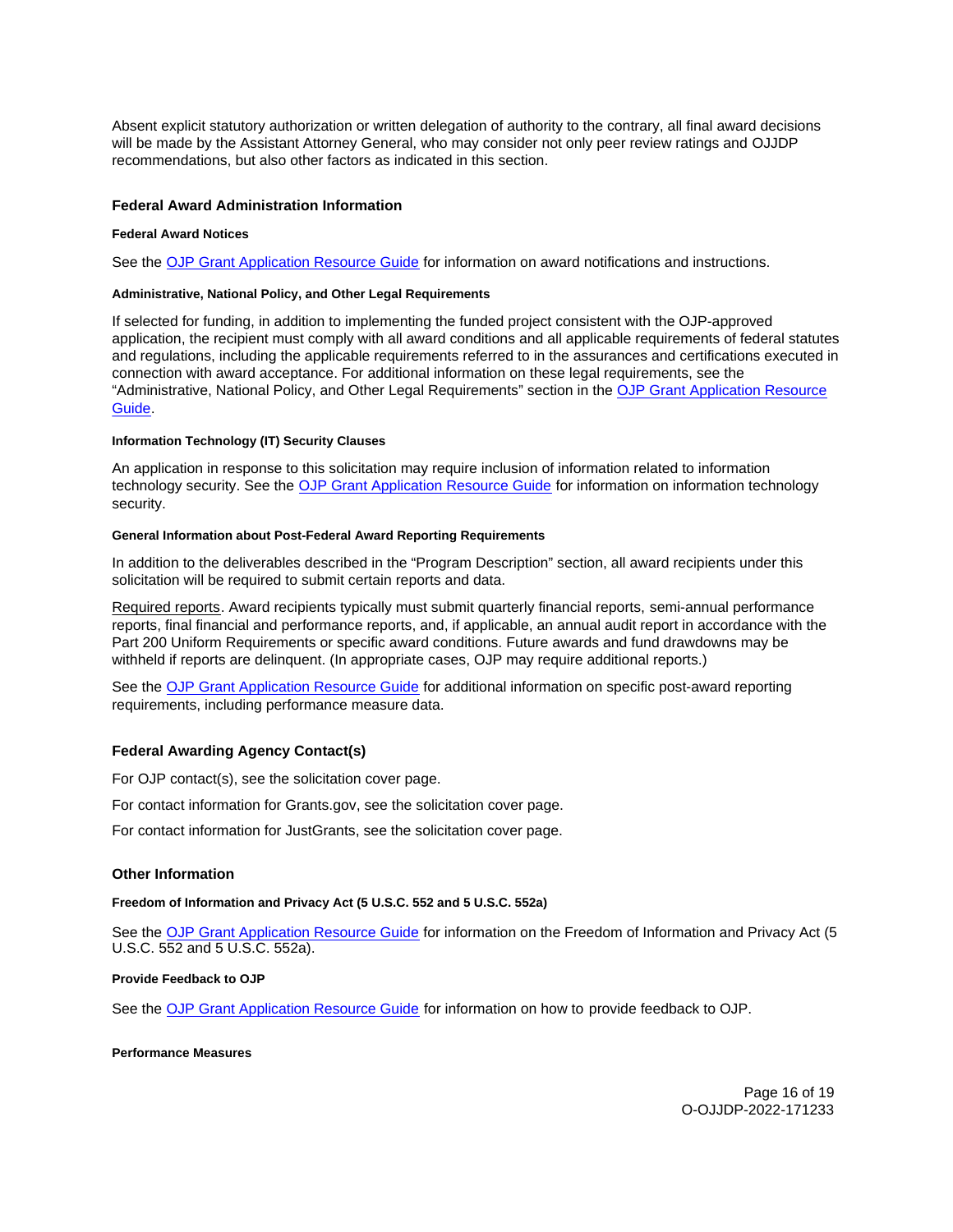<span id="page-15-0"></span>Absent explicit statutory authorization or written delegation of authority to the contrary, all final award decisions will be made by the Assistant Attorney General, who may consider not only peer review ratings and OJJDP recommendations, but also other factors as indicated in this section.

# **Federal Award Administration Information**

#### **Federal Award Notices**

See the [OJP Grant Application Resource Guide](https://www.ojp.gov/funding/apply/ojp-grant-application-resource-guide#federal-award-notices) for information on award notifications and instructions.

#### **Administrative, National Policy, and Other Legal Requirements**

If selected for funding, in addition to implementing the funded project consistent with the OJP-approved application, the recipient must comply with all award conditions and all applicable requirements of federal statutes and regulations, including the applicable requirements referred to in the assurances and certifications executed in connection with award acceptance. For additional information on these legal requirements, see the "Administrative, National Policy, and Other Legal Requirements" section in the [OJP Grant Application Resource](https://www.ojp.gov/funding/apply/ojp-grant-application-resource-guide#administrative)  [Guide.](https://www.ojp.gov/funding/apply/ojp-grant-application-resource-guide#administrative)

## **Information Technology (IT) Security Clauses**

An application in response to this solicitation may require inclusion of information related to information technology security. See the [OJP Grant Application Resource Guide](https://www.ojp.gov/funding/apply/ojp-grant-application-resource-guide#information-technology) for information on information technology security.

#### **General Information about Post-Federal Award Reporting Requirements**

In addition to the deliverables described in the "Program Description" section, all award recipients under this solicitation will be required to submit certain reports and data.

Required reports. Award recipients typically must submit quarterly financial reports, semi-annual performance reports, final financial and performance reports, and, if applicable, an annual audit report in accordance with the Part 200 Uniform Requirements or specific award conditions. Future awards and fund drawdowns may be withheld if reports are delinquent. (In appropriate cases, OJP may require additional reports.)

See the [OJP Grant Application Resource Guide](https://www.ojp.gov/funding/Apply/Resources/Grant-App-Resource-Guide.htm) for additional information on specific post-award reporting requirements, including performance measure data.

## **Federal Awarding Agency Contact(s)**

For OJP contact(s), see the solicitation cover page.

For contact information for [Grants.gov](https://Grants.gov), see the solicitation cover page.

For contact information for JustGrants, see the solicitation cover page.

# **Other Information**

#### **Freedom of Information and Privacy Act (5 U.S.C. 552 and 5 U.S.C. 552a)**

See the [OJP Grant Application Resource Guide](https://www.ojp.gov/funding/apply/ojp-grant-application-resource-guide#foia) for information on the Freedom of Information and Privacy Act (5 U.S.C. 552 and 5 U.S.C. 552a).

## **Provide Feedback to OJP**

See the [OJP Grant Application Resource Guide](https://www.ojp.gov/funding/apply/ojp-grant-application-resource-guide#feedback) for information on how to provide feedback to OJP.

#### **Performance Measures**

Page 16 of 19 O-OJJDP-2022-171233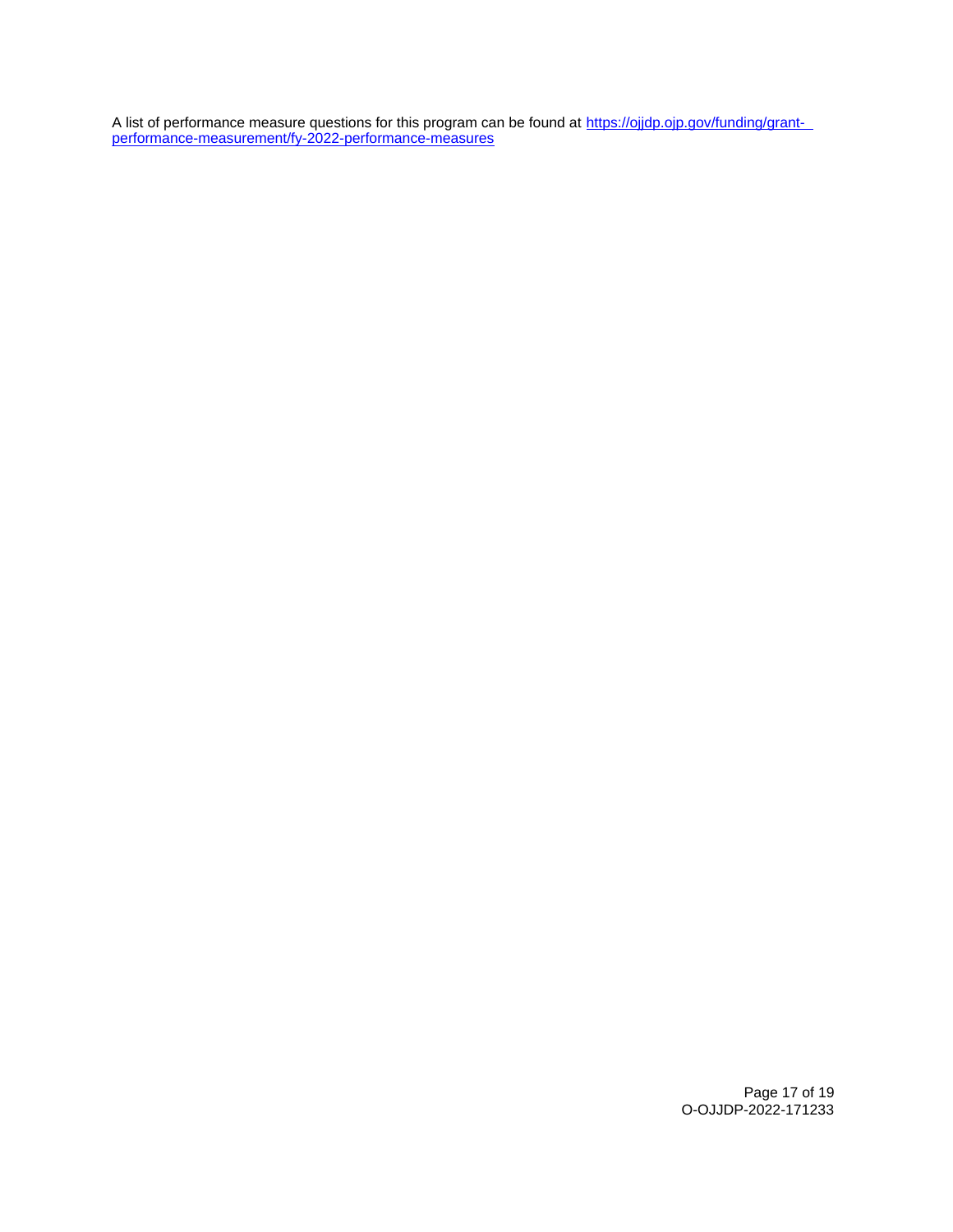A list of performance measure questions for this program can be found at [https://ojjdp.ojp.gov/funding/grant](https://ojjdp.ojp.gov/funding/grant-performance-measurement/fy-2021-performance-measures)[performance-measurement/fy-2022-performance-measures](https://ojjdp.ojp.gov/funding/grant-performance-measurement/fy-2021-performance-measures) 

> Page 17 of 19 O-OJJDP-2022-171233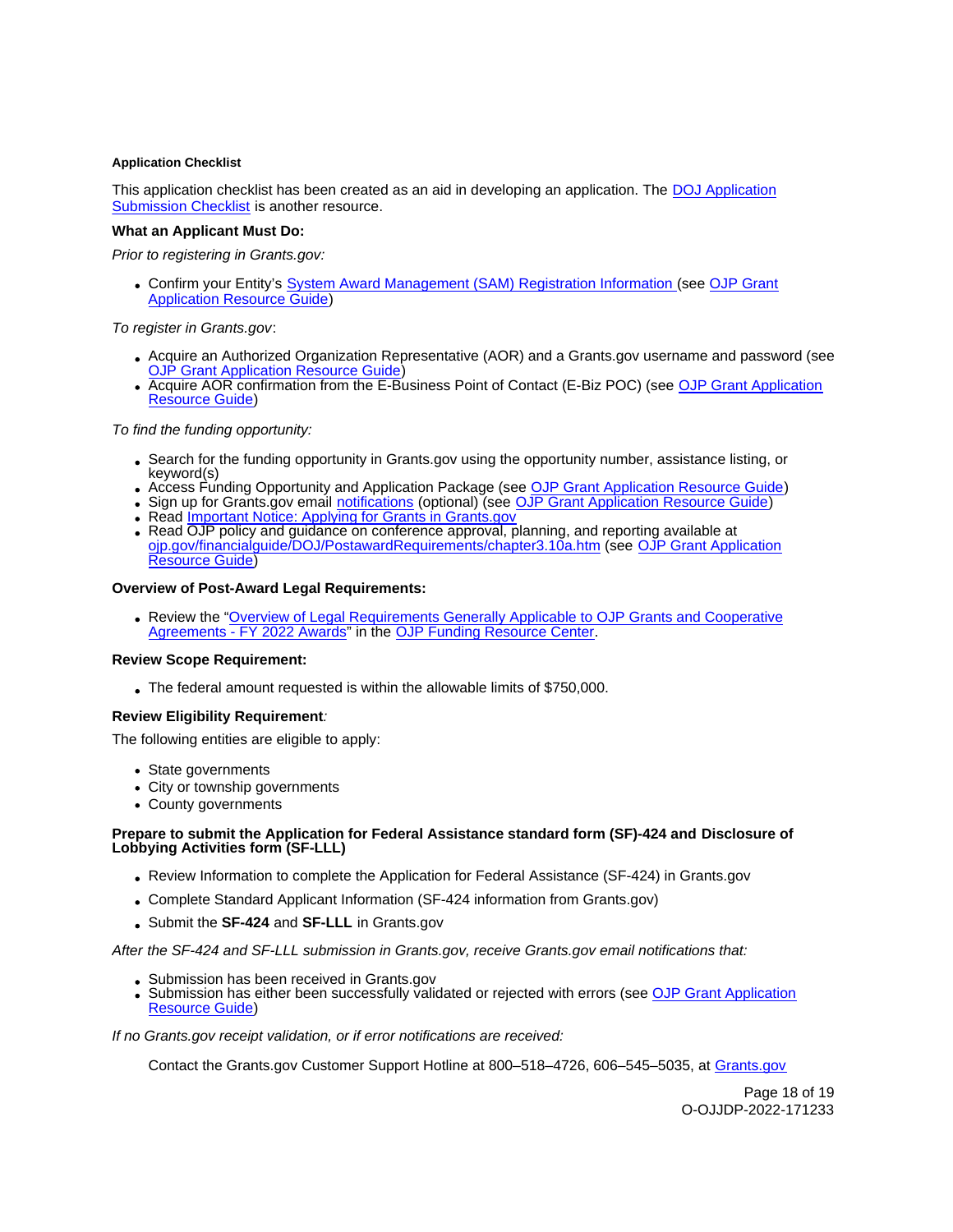# <span id="page-17-0"></span>**Application Checklist**

This application checklist has been created as an aid in developing an application. The [DOJ Application](https://justicegrants.usdoj.gov/sites/g/files/xyckuh296/files/media/document/appln-submission-checklist.pdf)  [Submission Checklist](https://justicegrants.usdoj.gov/sites/g/files/xyckuh296/files/media/document/appln-submission-checklist.pdf) is another resource.

# **What an Applicant Must Do:**

Prior to registering in [Grants.gov](https://Grants.gov):

Confirm your Entity's [System Award Management \(SAM\)](https://sam.gov/SAM/) Registration Information (see [OJP Grant](https://www.ojp.gov/funding/apply/ojp-grant-application-resource-guide#apply)  [Application Resource Guide\)](https://www.ojp.gov/funding/apply/ojp-grant-application-resource-guide#apply)

# To register in [Grants.gov](https://Grants.gov):

- Acquire an Authorized Organization Representative (AOR) and a [Grants.gov](https://Grants.gov) username and password (see **[OJP Grant Application Resource Guide\)](https://www.ojp.gov/funding/apply/ojp-grant-application-resource-guide#apply)**
- Acquire AOR confirmation from the E-Business Point of Contact (E-Biz POC) (see OJP Grant Application [Resource Guide\)](https://www.ojp.gov/funding/apply/ojp-grant-application-resource-guide#apply)

# To find the funding opportunity:

- Search for the funding opportunity in [Grants.gov](https://Grants.gov) using the opportunity number, assistance listing, or keyword(s)
- Access Funding Opportunity and Application Package (see [OJP Grant Application Resource Guide\)](https://ojp.gov/funding/Apply/Resources/Grant-App-Resource-Guide.htm)
- Sign up for [Grants.gov](https://Grants.gov) email [notifications](https://www.grants.gov/web/grants/manage-subscriptions.html) (optional) (see [OJP Grant Application Resource Guide\)](https://ojp.gov/funding/Apply/Resources/Grant-App-Resource-Guide.htm)
- Read *Important Notice: Applying for Grants in Grants.gov*
- Read OJP policy and guidance on conference approval, planning, and reporting available at [ojp.gov/financialguide/DOJ/PostawardRequirements/chapter3.10a.htm](https://ojp.gov/financialguide/DOJ/PostawardRequirements/chapter3.10a.htm) (see [OJP Grant Application](https://ojp.gov/funding/Apply/Resources/Grant-App-Resource-Guide.htm)  [Resource Guide\)](https://ojp.gov/funding/Apply/Resources/Grant-App-Resource-Guide.htm)

# **Overview of Post-Award Legal Requirements:**

Review the ["Overview of Legal Requirements Generally Applicable to OJP Grants and Cooperative](https://www.ojp.gov/funding/explore/legal-overview-awards)  [Agreements - FY 2022 Awards"](https://www.ojp.gov/funding/explore/legal-overview-awards) in the [OJP Funding Resource Center.](https://www.ojp.gov/funding/explore/legal-overview-awards)

# **Review Scope Requirement:**

The federal amount requested is within the allowable limits of \$750,000.

# **Review Eligibility Requirement**:

The following entities are eligible to apply:

- State governments
- City or township governments
- County governments

# **Prepare to submit the Application for Federal Assistance standard form (SF)-424 and Disclosure of Lobbying Activities form (SF-LLL)**

- Review Information to complete the Application for Federal Assistance (SF-424) in [Grants.gov](https://Grants.gov)
- Complete Standard Applicant Information (SF-424 information from [Grants.gov](https://Grants.gov))
- Submit the **SF-424** and **SF-LLL** in [Grants.gov](https://Grants.gov)

After the SF-424 and SF-LLL submission in [Grants.gov](https://Grants.gov), receive [Grants.gov](https://Grants.gov) email notifications that:

- Submission has been received in [Grants.gov](https://Grants.gov)
- Submission has either been successfully validated or rejected with errors (see OJP Grant Application [Resource Guide\)](https://ojp.gov/funding/Apply/Resources/Grant-App-Resource-Guide.htm)

If no [Grants.gov](https://Grants.gov) receipt validation, or if error notifications are received:

Contact the [Grants.gov](https://Grants.gov) Customer Support Hotline at 800–518–4726, 606–545–5035, at [Grants.gov](https://www.grants.gov/web/grants/support.html) 

Page 18 of 19 O-OJJDP-2022-171233